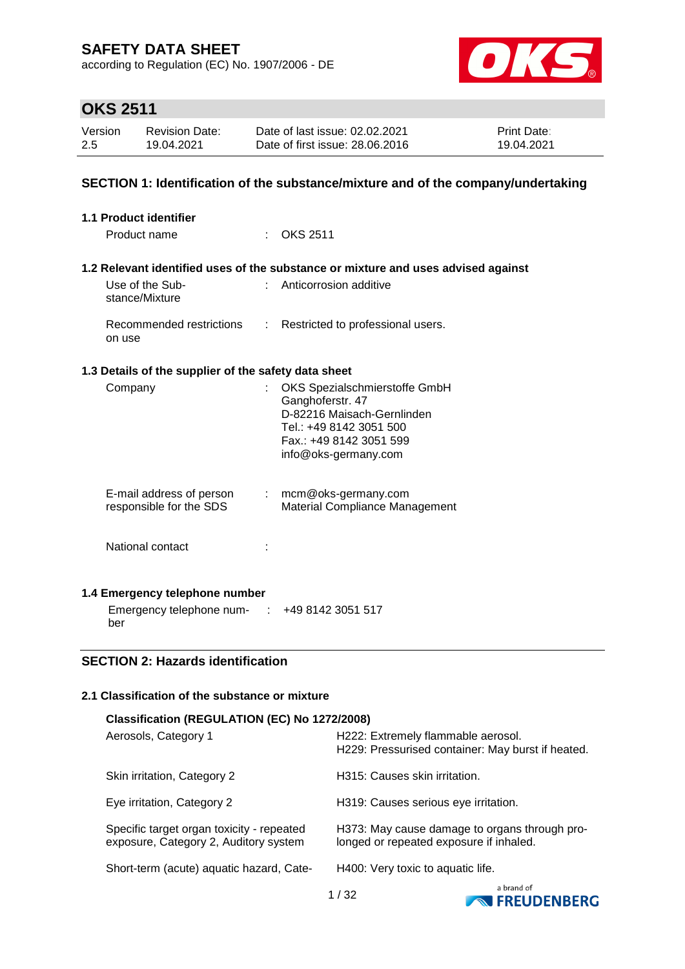according to Regulation (EC) No. 1907/2006 - DE



# **OKS 2511**

| Version | <b>Revision Date:</b> | Date of last issue: 02.02.2021  | <b>Print Date:</b> |
|---------|-----------------------|---------------------------------|--------------------|
| 2.5     | 19.04.2021            | Date of first issue: 28,06,2016 | 19.04.2021         |

### **SECTION 1: Identification of the substance/mixture and of the company/undertaking**

| <b>1.1 Product identifier</b>                        |                            |                                                                                                                                                               |
|------------------------------------------------------|----------------------------|---------------------------------------------------------------------------------------------------------------------------------------------------------------|
| Product name                                         |                            | $:$ OKS 2511                                                                                                                                                  |
|                                                      |                            | 1.2 Relevant identified uses of the substance or mixture and uses advised against                                                                             |
| Use of the Sub-<br>stance/Mixture                    | $\mathbb{R}^{n+1}$         | Anticorrosion additive                                                                                                                                        |
| Recommended restrictions<br>on use                   | $\mathcal{L}^{\text{max}}$ | Restricted to professional users.                                                                                                                             |
| 1.3 Details of the supplier of the safety data sheet |                            |                                                                                                                                                               |
| Company                                              |                            | OKS Spezialschmierstoffe GmbH<br>Ganghoferstr. 47<br>D-82216 Maisach-Gernlinden<br>Tel.: +49 8142 3051 500<br>Fax.: +49 8142 3051 599<br>info@oks-germany.com |
| E-mail address of person<br>responsible for the SDS  |                            | $:$ mcm@oks-germany.com<br>Material Compliance Management                                                                                                     |
| National contact                                     |                            |                                                                                                                                                               |
| 1.4 Emergency telephone number                       |                            |                                                                                                                                                               |
| Emergency telephone num- : +49 8142 3051 517<br>ber  |                            |                                                                                                                                                               |

#### **SECTION 2: Hazards identification**

### **2.1 Classification of the substance or mixture**

| Classification (REGULATION (EC) No 1272/2008)                                      |                                                                                          |                                   |  |
|------------------------------------------------------------------------------------|------------------------------------------------------------------------------------------|-----------------------------------|--|
| Aerosols, Category 1                                                               | H222: Extremely flammable aerosol.<br>H229: Pressurised container: May burst if heated.  |                                   |  |
| Skin irritation, Category 2                                                        | H315: Causes skin irritation.                                                            |                                   |  |
| Eye irritation, Category 2                                                         | H319: Causes serious eye irritation.                                                     |                                   |  |
| Specific target organ toxicity - repeated<br>exposure, Category 2, Auditory system | H373: May cause damage to organs through pro-<br>longed or repeated exposure if inhaled. |                                   |  |
| Short-term (acute) aquatic hazard, Cate-                                           | H400: Very toxic to aquatic life.                                                        |                                   |  |
|                                                                                    | 1 / 32                                                                                   | a brand of<br><b>EDELINENDEDG</b> |  |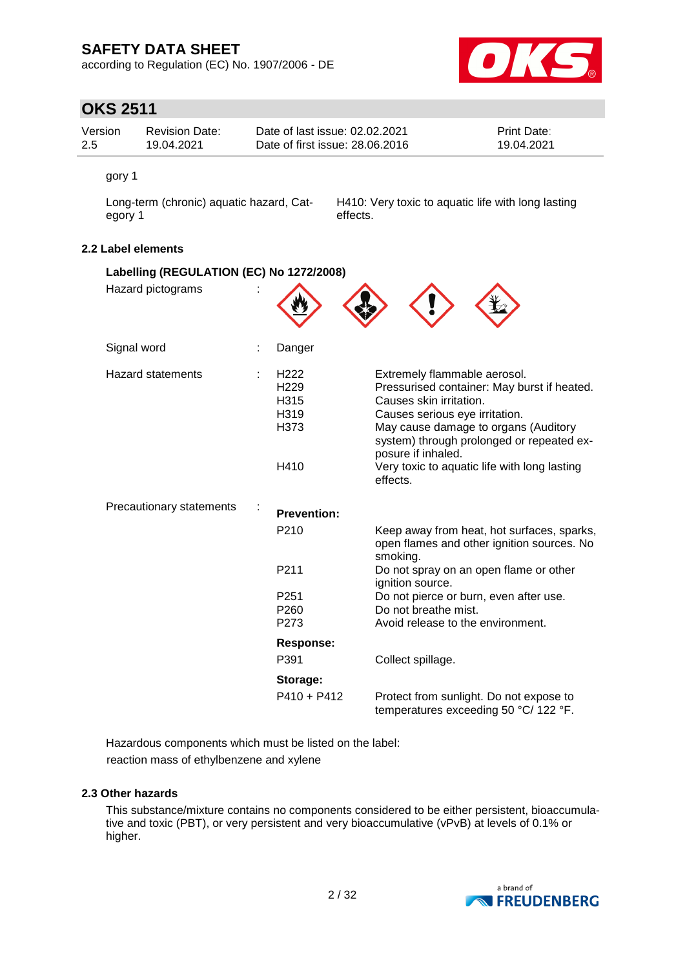according to Regulation (EC) No. 1907/2006 - DE



## **OKS 2511**

| Version | Revision Date: | Date of last issue: 02.02.2021  | <b>Print Date:</b> |
|---------|----------------|---------------------------------|--------------------|
| -2.5    | 19.04.2021     | Date of first issue: 28,06,2016 | 19.04.2021         |

gory 1

Long-term (chronic) aquatic hazard, Category 1

H410: Very toxic to aquatic life with long lasting effects.

### **2.2 Label elements**

| Labelling (REGULATION (EC) No 1272/2008) |                                                                      |                                                                                                                                                                                                                                                                                                                 |  |  |  |
|------------------------------------------|----------------------------------------------------------------------|-----------------------------------------------------------------------------------------------------------------------------------------------------------------------------------------------------------------------------------------------------------------------------------------------------------------|--|--|--|
| Hazard pictograms                        |                                                                      |                                                                                                                                                                                                                                                                                                                 |  |  |  |
| Signal word                              | Danger                                                               |                                                                                                                                                                                                                                                                                                                 |  |  |  |
| <b>Hazard statements</b>                 | H <sub>222</sub><br>H <sub>229</sub><br>H315<br>H319<br>H373<br>H410 | Extremely flammable aerosol.<br>Pressurised container: May burst if heated.<br>Causes skin irritation.<br>Causes serious eye irritation.<br>May cause damage to organs (Auditory<br>system) through prolonged or repeated ex-<br>posure if inhaled.<br>Very toxic to aquatic life with long lasting<br>effects. |  |  |  |
| Precautionary statements                 | <b>Prevention:</b>                                                   |                                                                                                                                                                                                                                                                                                                 |  |  |  |
|                                          | P <sub>210</sub>                                                     | Keep away from heat, hot surfaces, sparks,<br>open flames and other ignition sources. No<br>smoking.                                                                                                                                                                                                            |  |  |  |
|                                          | P211                                                                 | Do not spray on an open flame or other<br>ignition source.                                                                                                                                                                                                                                                      |  |  |  |
|                                          | P <sub>251</sub><br>P <sub>260</sub><br>P273                         | Do not pierce or burn, even after use.<br>Do not breathe mist.<br>Avoid release to the environment.                                                                                                                                                                                                             |  |  |  |
|                                          | <b>Response:</b><br>P391                                             | Collect spillage.                                                                                                                                                                                                                                                                                               |  |  |  |
|                                          | Storage:<br>$P410 + P412$                                            | Protect from sunlight. Do not expose to<br>temperatures exceeding 50 °C/ 122 °F.                                                                                                                                                                                                                                |  |  |  |

Hazardous components which must be listed on the label: reaction mass of ethylbenzene and xylene

#### **2.3 Other hazards**

This substance/mixture contains no components considered to be either persistent, bioaccumulative and toxic (PBT), or very persistent and very bioaccumulative (vPvB) at levels of 0.1% or higher.

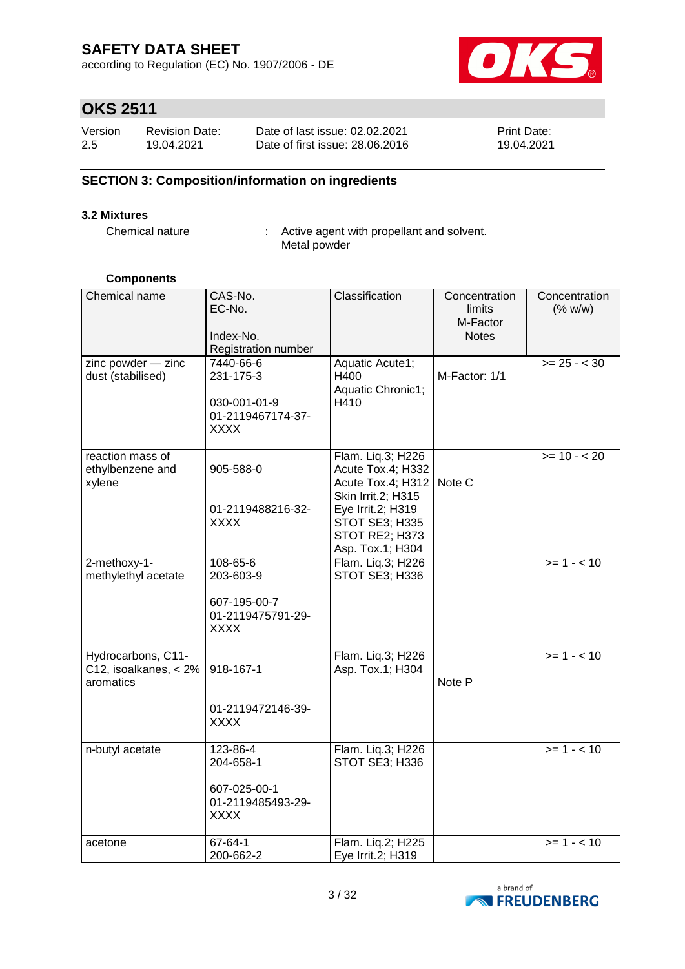according to Regulation (EC) No. 1907/2006 - DE



# **OKS 2511**

| Version | <b>Revision Date:</b> | Date of last issue: 02.02.2021  | <b>Print Date:</b> |
|---------|-----------------------|---------------------------------|--------------------|
| 2.5     | 19.04.2021            | Date of first issue: 28,06,2016 | 19.04.2021         |

### **SECTION 3: Composition/information on ingredients**

### **3.2 Mixtures**

Chemical nature : Active agent with propellant and solvent. Metal powder

#### **Components**

| Chemical name                                               | CAS-No.<br>EC-No.<br>Index-No.<br>Registration number                      | Classification                                                                                                                                                 | Concentration<br>limits<br>M-Factor<br><b>Notes</b> | Concentration<br>(% w/w)   |
|-------------------------------------------------------------|----------------------------------------------------------------------------|----------------------------------------------------------------------------------------------------------------------------------------------------------------|-----------------------------------------------------|----------------------------|
| zinc powder - zinc<br>dust (stabilised)                     | 7440-66-6<br>231-175-3<br>030-001-01-9<br>01-2119467174-37-<br><b>XXXX</b> | Aquatic Acute1;<br>H400<br>Aquatic Chronic1;<br>H410                                                                                                           | M-Factor: 1/1                                       | $>= 25 - < 30$             |
| reaction mass of<br>ethylbenzene and<br>xylene              | 905-588-0<br>01-2119488216-32-<br><b>XXXX</b>                              | Flam. Liq.3; H226<br>Acute Tox.4; H332<br>Acute Tox.4; H312<br>Skin Irrit.2; H315<br>Eye Irrit.2; H319<br>STOT SE3; H335<br>STOT RE2; H373<br>Asp. Tox.1; H304 | Note C                                              | $\overline{5}$ = 10 - < 20 |
| 2-methoxy-1-<br>methylethyl acetate                         | 108-65-6<br>203-603-9<br>607-195-00-7<br>01-2119475791-29-<br><b>XXXX</b>  | Flam. Liq.3; H226<br>STOT SE3; H336                                                                                                                            |                                                     | $>= 1 - 10$                |
| Hydrocarbons, C11-<br>C12, isoalkanes, $< 2\%$<br>aromatics | 918-167-1<br>01-2119472146-39-<br><b>XXXX</b>                              | Flam. Liq.3; H226<br>Asp. Tox.1; H304                                                                                                                          | Note P                                              | $\overline{5}$ = 1 - < 10  |
| n-butyl acetate                                             | 123-86-4<br>204-658-1<br>607-025-00-1<br>01-2119485493-29-<br><b>XXXX</b>  | Flam. Liq.3; H226<br>STOT SE3; H336                                                                                                                            |                                                     | $>= 1 - 10$                |
| acetone                                                     | 67-64-1<br>200-662-2                                                       | Flam. Liq.2; H225<br>Eye Irrit.2; H319                                                                                                                         |                                                     | $>= 1 - 10$                |

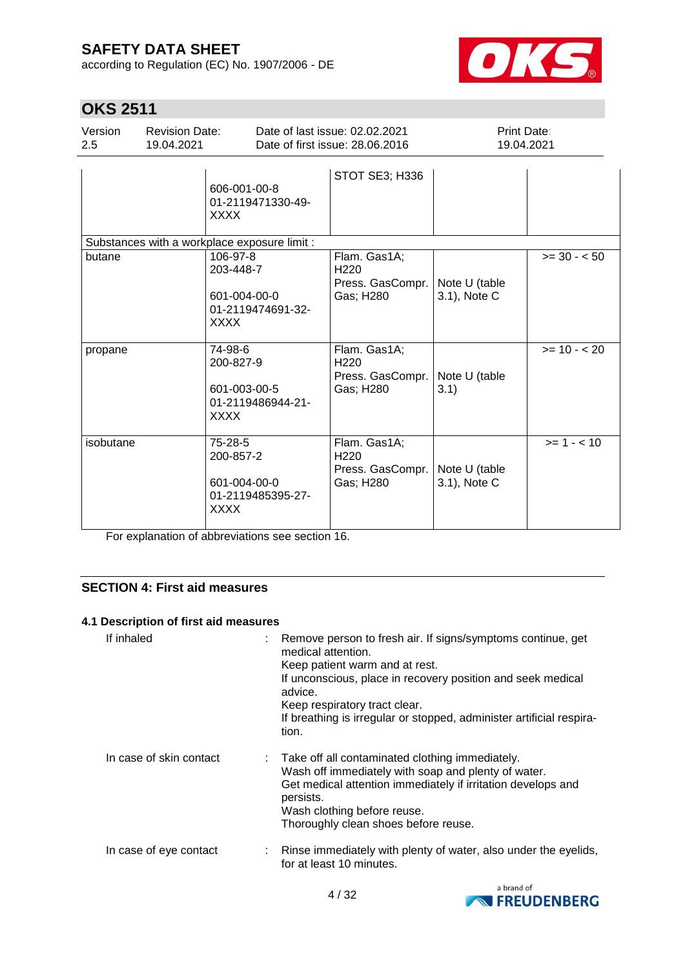according to Regulation (EC) No. 1907/2006 - DE



 $\overline{\phantom{a}}$ 

# **OKS 2511**

| Version | <b>Revision Date:</b> | Date of last issue: 02.02.2021  | <b>Print Date:</b> |  |
|---------|-----------------------|---------------------------------|--------------------|--|
| -2.5    | 19.04.2021            | Date of first issue: 28.06.2016 | 19.04.2021         |  |
|         |                       | STOT SE3; H336                  |                    |  |

|                                              | 606-001-00-8<br>01-2119471330-49-<br><b>XXXX</b>                          |                                                                   |                               |               |
|----------------------------------------------|---------------------------------------------------------------------------|-------------------------------------------------------------------|-------------------------------|---------------|
| Substances with a workplace exposure limit : |                                                                           |                                                                   |                               |               |
| butane                                       | 106-97-8<br>203-448-7<br>601-004-00-0<br>01-2119474691-32-<br><b>XXXX</b> | Flam. Gas1A;<br>H <sub>220</sub><br>Press. GasCompr.<br>Gas; H280 | Note U (table<br>3.1), Note C | $>= 30 - 50$  |
| propane                                      | 74-98-6<br>200-827-9<br>601-003-00-5<br>01-2119486944-21-<br><b>XXXX</b>  | Flam. Gas1A;<br>H <sub>220</sub><br>Press. GasCompr.<br>Gas; H280 | Note U (table<br>3.1)         | $>= 10 - 20$  |
| isobutane                                    | 75-28-5<br>200-857-2<br>601-004-00-0<br>01-2119485395-27-<br>XXXX         | Flam. Gas1A;<br>H <sub>220</sub><br>Press. GasCompr.<br>Gas; H280 | Note U (table<br>3.1), Note C | $>= 1 - < 10$ |

For explanation of abbreviations see section 16.

### **SECTION 4: First aid measures**

### **4.1 Description of first aid measures**

| If inhaled              | : Remove person to fresh air. If signs/symptoms continue, get<br>medical attention.<br>Keep patient warm and at rest.<br>If unconscious, place in recovery position and seek medical<br>advice.<br>Keep respiratory tract clear.<br>If breathing is irregular or stopped, administer artificial respira-<br>tion. |
|-------------------------|-------------------------------------------------------------------------------------------------------------------------------------------------------------------------------------------------------------------------------------------------------------------------------------------------------------------|
| In case of skin contact | : Take off all contaminated clothing immediately.<br>Wash off immediately with soap and plenty of water.<br>Get medical attention immediately if irritation develops and<br>persists.<br>Wash clothing before reuse.<br>Thoroughly clean shoes before reuse.                                                      |
| In case of eye contact  | Rinse immediately with plenty of water, also under the eyelids,<br>for at least 10 minutes.                                                                                                                                                                                                                       |

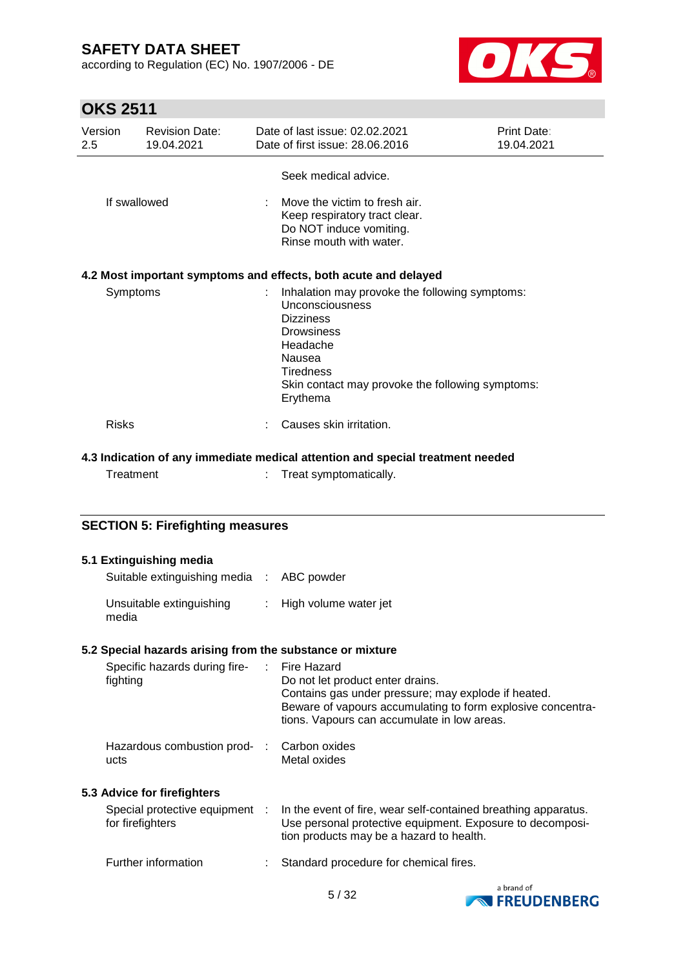according to Regulation (EC) No. 1907/2006 - DE



# **OKS 2511**

| Version<br>2.5 |              | <b>Revision Date:</b><br>19.04.2021                                                                                                                                                                                         |                                                                                                                      | Date of last issue: 02.02.2021<br>Date of first issue: 28.06.2016                                                                                                                                                           | Print Date:<br>19.04.2021 |
|----------------|--------------|-----------------------------------------------------------------------------------------------------------------------------------------------------------------------------------------------------------------------------|----------------------------------------------------------------------------------------------------------------------|-----------------------------------------------------------------------------------------------------------------------------------------------------------------------------------------------------------------------------|---------------------------|
|                |              |                                                                                                                                                                                                                             |                                                                                                                      | Seek medical advice.                                                                                                                                                                                                        |                           |
| If swallowed   |              |                                                                                                                                                                                                                             | Move the victim to fresh air.<br>Keep respiratory tract clear.<br>Do NOT induce vomiting.<br>Rinse mouth with water. |                                                                                                                                                                                                                             |                           |
|                |              |                                                                                                                                                                                                                             |                                                                                                                      | 4.2 Most important symptoms and effects, both acute and delayed                                                                                                                                                             |                           |
| Symptoms       |              | Inhalation may provoke the following symptoms:<br><b>Unconsciousness</b><br><b>Dizziness</b><br><b>Drowsiness</b><br>Headache<br>Nausea<br><b>Tiredness</b><br>Skin contact may provoke the following symptoms:<br>Erythema |                                                                                                                      |                                                                                                                                                                                                                             |                           |
|                | <b>Risks</b> |                                                                                                                                                                                                                             |                                                                                                                      | Causes skin irritation.                                                                                                                                                                                                     |                           |
|                |              |                                                                                                                                                                                                                             |                                                                                                                      | 4.3 Indication of any immediate medical attention and special treatment needed                                                                                                                                              |                           |
|                | Treatment    |                                                                                                                                                                                                                             |                                                                                                                      | Treat symptomatically.                                                                                                                                                                                                      |                           |
|                |              |                                                                                                                                                                                                                             |                                                                                                                      |                                                                                                                                                                                                                             |                           |
|                |              | <b>SECTION 5: Firefighting measures</b>                                                                                                                                                                                     |                                                                                                                      |                                                                                                                                                                                                                             |                           |
|                |              | 5.1 Extinguishing media                                                                                                                                                                                                     |                                                                                                                      |                                                                                                                                                                                                                             |                           |
|                |              | Suitable extinguishing media :                                                                                                                                                                                              |                                                                                                                      | ABC powder                                                                                                                                                                                                                  |                           |
|                | media        | Unsuitable extinguishing                                                                                                                                                                                                    |                                                                                                                      | High volume water jet                                                                                                                                                                                                       |                           |
|                |              |                                                                                                                                                                                                                             |                                                                                                                      | 5.2 Special hazards arising from the substance or mixture                                                                                                                                                                   |                           |
|                | fighting     | Specific hazards during fire-                                                                                                                                                                                               |                                                                                                                      | <b>Fire Hazard</b><br>Do not let product enter drains.<br>Contains gas under pressure; may explode if heated.<br>Beware of vapours accumulating to form explosive concentra-<br>tions. Vapours can accumulate in low areas. |                           |
|                | ucts         | Hazardous combustion prod-                                                                                                                                                                                                  |                                                                                                                      | Carbon oxides<br>Metal oxides                                                                                                                                                                                               |                           |
|                |              | 5.3 Advice for firefighters                                                                                                                                                                                                 |                                                                                                                      |                                                                                                                                                                                                                             |                           |
|                |              | Special protective equipment<br>for firefighters                                                                                                                                                                            |                                                                                                                      | In the event of fire, wear self-contained breathing apparatus.<br>Use personal protective equipment. Exposure to decomposi-<br>tion products may be a hazard to health.                                                     |                           |

Further information : Standard procedure for chemical fires.

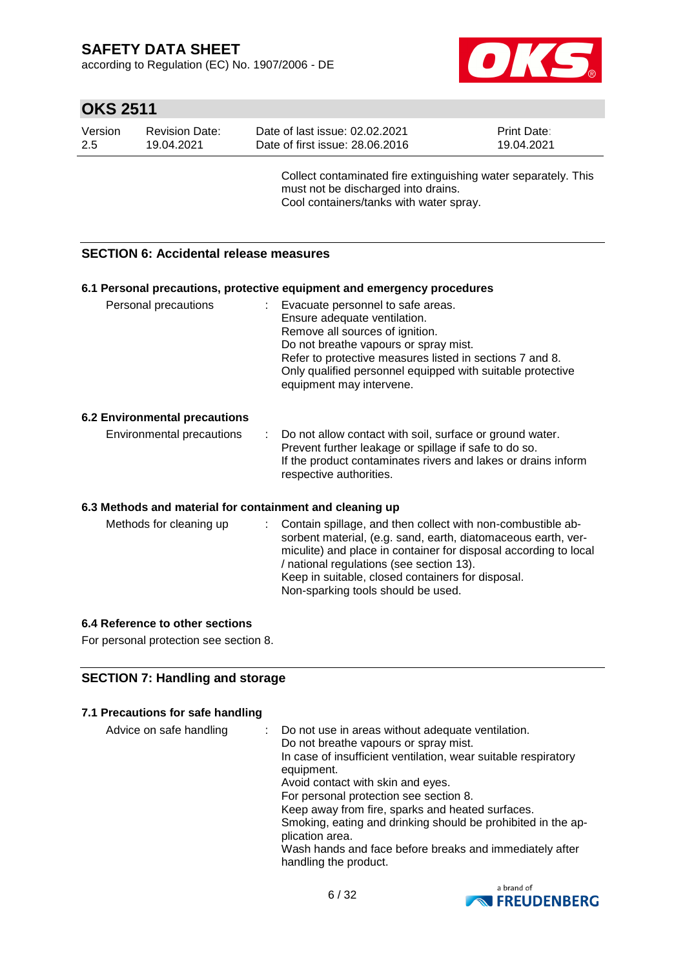according to Regulation (EC) No. 1907/2006 - DE



## **OKS 2511**

| Version | <b>Revision Date:</b> | Date of last issue: 02.02.2021  | <b>Print Date:</b> |
|---------|-----------------------|---------------------------------|--------------------|
| -2.5    | 19.04.2021            | Date of first issue: 28,06,2016 | 19.04.2021         |
|         |                       |                                 |                    |

Collect contaminated fire extinguishing water separately. This must not be discharged into drains. Cool containers/tanks with water spray.

### **SECTION 6: Accidental release measures**

#### **6.1 Personal precautions, protective equipment and emergency procedures**

| Personal precautions | : Evacuate personnel to safe areas.<br>Ensure adequate ventilation.<br>Remove all sources of ignition.<br>Do not breathe vapours or spray mist.<br>Refer to protective measures listed in sections 7 and 8.<br>Only qualified personnel equipped with suitable protective<br>equipment may intervene. |
|----------------------|-------------------------------------------------------------------------------------------------------------------------------------------------------------------------------------------------------------------------------------------------------------------------------------------------------|
|                      |                                                                                                                                                                                                                                                                                                       |

#### **6.2 Environmental precautions**

| Environmental precautions | : Do not allow contact with soil, surface or ground water.    |
|---------------------------|---------------------------------------------------------------|
|                           | Prevent further leakage or spillage if safe to do so.         |
|                           | If the product contaminates rivers and lakes or drains inform |
|                           | respective authorities.                                       |

#### **6.3 Methods and material for containment and cleaning up**

| Methods for cleaning up |  | : Contain spillage, and then collect with non-combustible ab-<br>sorbent material, (e.g. sand, earth, diatomaceous earth, ver-<br>miculite) and place in container for disposal according to local<br>/ national regulations (see section 13).<br>Keep in suitable, closed containers for disposal.<br>Non-sparking tools should be used. |
|-------------------------|--|-------------------------------------------------------------------------------------------------------------------------------------------------------------------------------------------------------------------------------------------------------------------------------------------------------------------------------------------|
|-------------------------|--|-------------------------------------------------------------------------------------------------------------------------------------------------------------------------------------------------------------------------------------------------------------------------------------------------------------------------------------------|

#### **6.4 Reference to other sections**

For personal protection see section 8.

#### **SECTION 7: Handling and storage**

#### **7.1 Precautions for safe handling**

| Advice on safe handling | Do not use in areas without adequate ventilation.<br>Do not breathe vapours or spray mist.<br>In case of insufficient ventilation, wear suitable respiratory<br>equipment.<br>Avoid contact with skin and eyes.<br>For personal protection see section 8.<br>Keep away from fire, sparks and heated surfaces.<br>Smoking, eating and drinking should be prohibited in the ap-<br>plication area.<br>Wash hands and face before breaks and immediately after |
|-------------------------|-------------------------------------------------------------------------------------------------------------------------------------------------------------------------------------------------------------------------------------------------------------------------------------------------------------------------------------------------------------------------------------------------------------------------------------------------------------|
|                         | handling the product.                                                                                                                                                                                                                                                                                                                                                                                                                                       |

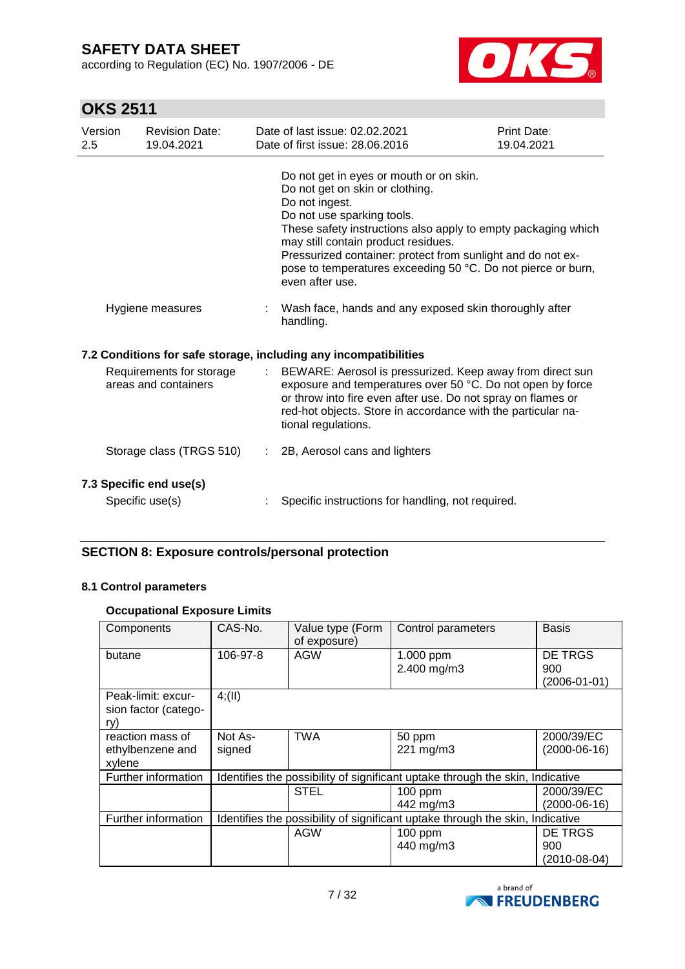according to Regulation (EC) No. 1907/2006 - DE



# **OKS 2511**

| Version<br>2.5 | <b>Revision Date:</b><br>19.04.2021              | Date of last issue: 02.02.2021<br>Date of first issue: 28.06.2016                                                                                                                                                                                                                                                                                                                    | Print Date:<br>19.04.2021 |
|----------------|--------------------------------------------------|--------------------------------------------------------------------------------------------------------------------------------------------------------------------------------------------------------------------------------------------------------------------------------------------------------------------------------------------------------------------------------------|---------------------------|
|                |                                                  | Do not get in eyes or mouth or on skin.<br>Do not get on skin or clothing.<br>Do not ingest.<br>Do not use sparking tools.<br>These safety instructions also apply to empty packaging which<br>may still contain product residues.<br>Pressurized container: protect from sunlight and do not ex-<br>pose to temperatures exceeding 50 °C. Do not pierce or burn,<br>even after use. |                           |
|                | Hygiene measures                                 | Wash face, hands and any exposed skin thoroughly after<br>handling.                                                                                                                                                                                                                                                                                                                  |                           |
|                |                                                  | 7.2 Conditions for safe storage, including any incompatibilities                                                                                                                                                                                                                                                                                                                     |                           |
|                | Requirements for storage<br>areas and containers | BEWARE: Aerosol is pressurized. Keep away from direct sun<br>exposure and temperatures over 50 °C. Do not open by force<br>or throw into fire even after use. Do not spray on flames or<br>red-hot objects. Store in accordance with the particular na-<br>tional regulations.                                                                                                       |                           |
|                | Storage class (TRGS 510)                         | 2B, Aerosol cans and lighters                                                                                                                                                                                                                                                                                                                                                        |                           |
|                | 7.3 Specific end use(s)<br>Specific use(s)       | Specific instructions for handling, not required.                                                                                                                                                                                                                                                                                                                                    |                           |

### **SECTION 8: Exposure controls/personal protection**

### **8.1 Control parameters**

#### **Occupational Exposure Limits**

| Components                                        | CAS-No.  | Value type (Form<br>of exposure) | Control parameters                                                            | <b>Basis</b>              |
|---------------------------------------------------|----------|----------------------------------|-------------------------------------------------------------------------------|---------------------------|
| butane                                            | 106-97-8 | <b>AGW</b>                       | 1.000 ppm                                                                     | <b>DE TRGS</b>            |
|                                                   |          |                                  | 2.400 mg/m3                                                                   | 900<br>$(2006 - 01 - 01)$ |
| Peak-limit: excur-<br>sion factor (catego-<br>ry) | 4(11)    |                                  |                                                                               |                           |
| reaction mass of                                  | Not As-  | <b>TWA</b>                       | 50 ppm                                                                        | 2000/39/EC                |
| ethylbenzene and<br>xylene                        | signed   |                                  | 221 mg/m3                                                                     | $(2000-06-16)$            |
| Further information                               |          |                                  | Identifies the possibility of significant uptake through the skin, Indicative |                           |
|                                                   |          | <b>STEL</b>                      | 100 ppm                                                                       | 2000/39/EC                |
|                                                   |          |                                  | 442 mg/m3                                                                     | $(2000-06-16)$            |
| Further information                               |          |                                  | Identifies the possibility of significant uptake through the skin, Indicative |                           |
|                                                   |          | AGW                              | 100 ppm                                                                       | DE TRGS                   |
|                                                   |          |                                  | 440 mg/m3                                                                     | 900                       |
|                                                   |          |                                  |                                                                               | (2010-08-04)              |

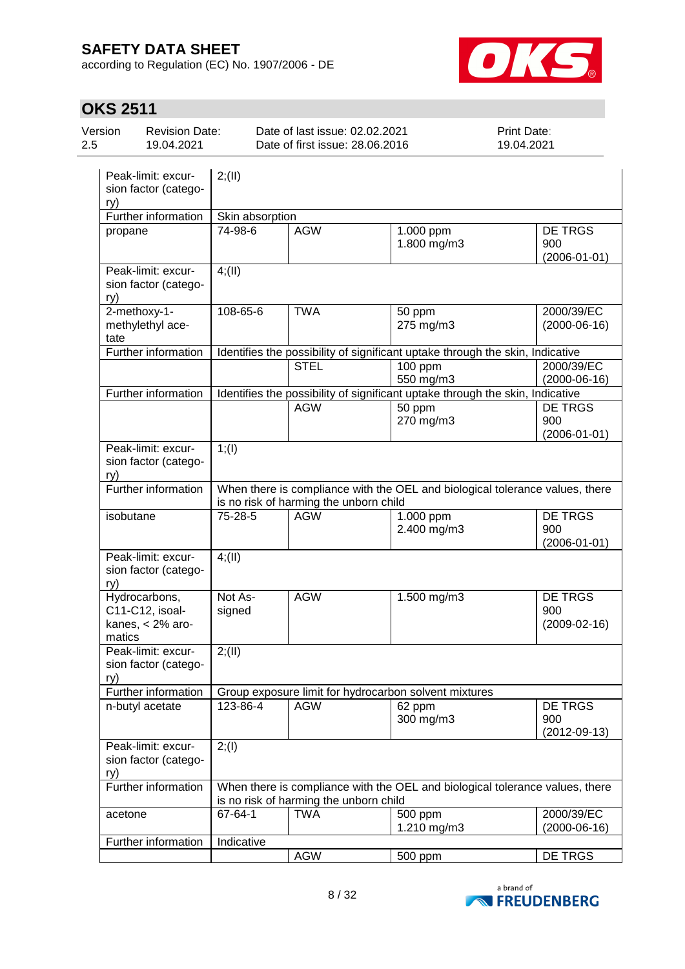according to Regulation (EC) No. 1907/2006 - DE



| Version<br>2.5 | <b>Revision Date:</b><br>19.04.2021                    |                   | Date of last issue: 02.02.2021<br>Date of first issue: 28.06.2016 |                                                       | Print Date:<br>19.04.2021                                                     |
|----------------|--------------------------------------------------------|-------------------|-------------------------------------------------------------------|-------------------------------------------------------|-------------------------------------------------------------------------------|
| ry)            | Peak-limit: excur-<br>sion factor (catego-             | 2; (II)           |                                                                   |                                                       |                                                                               |
|                | Further information                                    | Skin absorption   |                                                                   |                                                       |                                                                               |
| propane        |                                                        | 74-98-6           | <b>AGW</b>                                                        | $1.000$ ppm<br>1.800 mg/m3                            | <b>DE TRGS</b><br>900<br>$(2006 - 01 - 01)$                                   |
| ry)            | Peak-limit: excur-<br>sion factor (catego-             | 4(11)             |                                                                   |                                                       |                                                                               |
| tate           | 2-methoxy-1-<br>methylethyl ace-                       | 108-65-6          | <b>TWA</b>                                                        | 50 ppm<br>275 mg/m3                                   | 2000/39/EC<br>$(2000-06-16)$                                                  |
|                | Further information                                    |                   |                                                                   |                                                       | Identifies the possibility of significant uptake through the skin, Indicative |
|                |                                                        |                   | <b>STEL</b>                                                       | $100$ ppm                                             | 2000/39/EC                                                                    |
|                |                                                        |                   |                                                                   | 550 mg/m3                                             | $(2000-06-16)$                                                                |
|                | Further information                                    |                   |                                                                   |                                                       | Identifies the possibility of significant uptake through the skin, Indicative |
|                |                                                        |                   | <b>AGW</b>                                                        | 50 ppm<br>270 mg/m3                                   | <b>DE TRGS</b><br>900<br>$(2006 - 01 - 01)$                                   |
| ry)            | Peak-limit: excur-<br>sion factor (catego-             | $1;$ (I)          |                                                                   |                                                       |                                                                               |
|                | Further information                                    |                   | is no risk of harming the unborn child                            |                                                       | When there is compliance with the OEL and biological tolerance values, there  |
| isobutane      |                                                        | 75-28-5           | <b>AGW</b>                                                        | 1.000 ppm<br>2.400 mg/m3                              | <b>DE TRGS</b><br>900<br>$(2006 - 01 - 01)$                                   |
| ry)            | Peak-limit: excur-<br>sion factor (catego-             | 4(11)             |                                                                   |                                                       |                                                                               |
| matics         | Hydrocarbons,<br>C11-C12, isoal-<br>kanes, $<$ 2% aro- | Not As-<br>signed | <b>AGW</b>                                                        | 1.500 mg/m3                                           | <b>DE TRGS</b><br>900<br>$(2009 - 02 - 16)$                                   |
| ry)            | Peak-limit: excur-<br>sion factor (catego-             | 2; (II)           |                                                                   |                                                       |                                                                               |
|                | Further information                                    |                   |                                                                   | Group exposure limit for hydrocarbon solvent mixtures |                                                                               |
|                | n-butyl acetate                                        | 123-86-4          | <b>AGW</b>                                                        | 62 ppm<br>300 mg/m3                                   | DE TRGS<br>900<br>$(2012 - 09 - 13)$                                          |
| ry)            | Peak-limit: excur-<br>sion factor (catego-             | 2; (1)            |                                                                   |                                                       |                                                                               |
|                | Further information                                    |                   | is no risk of harming the unborn child                            |                                                       | When there is compliance with the OEL and biological tolerance values, there  |
| acetone        |                                                        | 67-64-1           | <b>TWA</b>                                                        | 500 ppm<br>1.210 mg/m3                                | 2000/39/EC<br>$(2000-06-16)$                                                  |
|                | Further information                                    | Indicative        |                                                                   |                                                       |                                                                               |
|                |                                                        |                   | <b>AGW</b>                                                        | 500 ppm                                               | DE TRGS                                                                       |

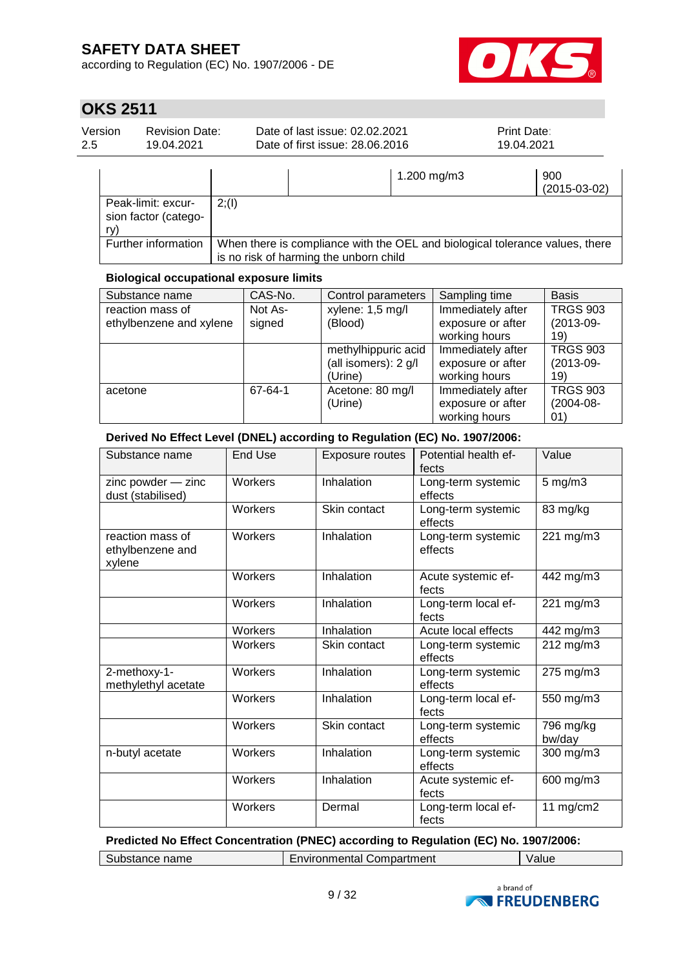according to Regulation (EC) No. 1907/2006 - DE



# **OKS 2511**

| 2.5<br>Date of first issue: 28,06,2016<br>19.04.2021<br>19.04.2021 | Version | <b>Revision Date:</b> | Date of last issue: 02.02.2021 | <b>Print Date:</b> |
|--------------------------------------------------------------------|---------|-----------------------|--------------------------------|--------------------|
|--------------------------------------------------------------------|---------|-----------------------|--------------------------------|--------------------|

|                                                   |                                                                                                                        | 1.200 mg/m3 | 900<br>$(2015-03-02)$ |
|---------------------------------------------------|------------------------------------------------------------------------------------------------------------------------|-------------|-----------------------|
| Peak-limit: excur-<br>sion factor (catego-<br>rv) | 2; (1)                                                                                                                 |             |                       |
| Further information                               | When there is compliance with the OEL and biological tolerance values, there<br>is no risk of harming the unborn child |             |                       |

### **Biological occupational exposure limits**

| Substance name                              | CAS-No.           | Control parameters                                     | Sampling time                                           | <b>Basis</b>                          |
|---------------------------------------------|-------------------|--------------------------------------------------------|---------------------------------------------------------|---------------------------------------|
| reaction mass of<br>ethylbenzene and xylene | Not As-<br>signed | xylene: 1,5 mg/l<br>(Blood)                            | Immediately after<br>exposure or after<br>working hours | <b>TRGS 903</b><br>$(2013-09-$<br>19) |
|                                             |                   | methylhippuric acid<br>(all isomers): 2 g/l<br>(Urine) | Immediately after<br>exposure or after<br>working hours | <b>TRGS 903</b><br>$(2013-09-$<br>19) |
| acetone                                     | 67-64-1           | Acetone: 80 mg/l<br>(Urine)                            | Immediately after<br>exposure or after<br>working hours | <b>TRGS 903</b><br>$(2004-08-$<br>01) |

### **Derived No Effect Level (DNEL) according to Regulation (EC) No. 1907/2006:**

| Substance name                                 | <b>End Use</b> | <b>Exposure routes</b> | Potential health ef-<br>fects | Value               |
|------------------------------------------------|----------------|------------------------|-------------------------------|---------------------|
| zinc powder - zinc<br>dust (stabilised)        | Workers        | Inhalation             | Long-term systemic<br>effects | $5$ mg/m $3$        |
|                                                | <b>Workers</b> | Skin contact           | Long-term systemic<br>effects | 83 mg/kg            |
| reaction mass of<br>ethylbenzene and<br>xylene | <b>Workers</b> | Inhalation             | Long-term systemic<br>effects | 221 mg/m3           |
|                                                | Workers        | Inhalation             | Acute systemic ef-<br>fects   | 442 mg/m3           |
|                                                | Workers        | Inhalation             | Long-term local ef-<br>fects  | 221 mg/m3           |
|                                                | Workers        | Inhalation             | Acute local effects           | 442 mg/m3           |
|                                                | Workers        | Skin contact           | Long-term systemic<br>effects | 212 mg/m3           |
| $2$ -methoxy-1-<br>methylethyl acetate         | Workers        | Inhalation             | Long-term systemic<br>effects | 275 mg/m3           |
|                                                | Workers        | Inhalation             | Long-term local ef-<br>fects  | 550 mg/m3           |
|                                                | <b>Workers</b> | Skin contact           | Long-term systemic<br>effects | 796 mg/kg<br>bw/day |
| n-butyl acetate                                | <b>Workers</b> | Inhalation             | Long-term systemic<br>effects | 300 mg/m3           |
|                                                | <b>Workers</b> | Inhalation             | Acute systemic ef-<br>fects   | 600 mg/m3           |
|                                                | Workers        | Dermal                 | Long-term local ef-<br>fects  | 11 $mg/cm2$         |

### **Predicted No Effect Concentration (PNEC) according to Regulation (EC) No. 1907/2006:**

| Compartment<br>name<br>.<br>∍∩men<br><b>SUDSTANCE</b><br>паг<br>aiu |  |
|---------------------------------------------------------------------|--|
|---------------------------------------------------------------------|--|

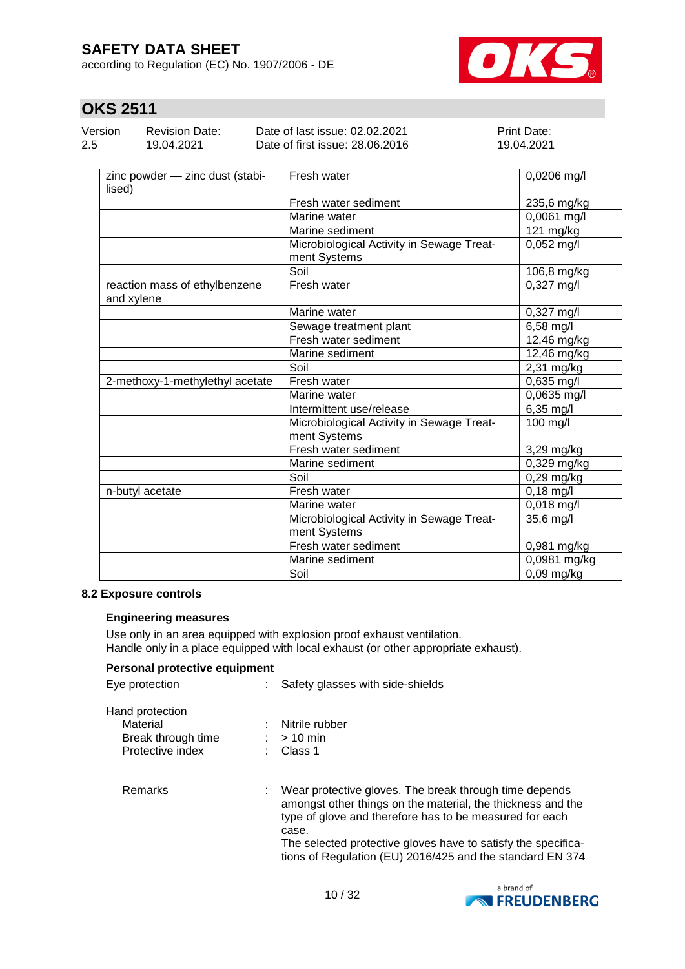according to Regulation (EC) No. 1907/2006 - DE



# **OKS 2511**

 $\overline{a}$ 

| Version | Revision Date: | Date of last issue: 02.02.2021                                                                                                                                                                                                                                                                                                                                                                                                                                                  | <b>Print Date:</b> |
|---------|----------------|---------------------------------------------------------------------------------------------------------------------------------------------------------------------------------------------------------------------------------------------------------------------------------------------------------------------------------------------------------------------------------------------------------------------------------------------------------------------------------|--------------------|
| 2.5     | 19.04.2021     | Date of first issue: 28.06.2016                                                                                                                                                                                                                                                                                                                                                                                                                                                 | 19.04.2021         |
|         |                | $\overline{\phantom{a}}$ $\overline{\phantom{a}}$ $\overline{\phantom{a}}$ $\overline{\phantom{a}}$ $\overline{\phantom{a}}$ $\overline{\phantom{a}}$ $\overline{\phantom{a}}$ $\overline{\phantom{a}}$ $\overline{\phantom{a}}$ $\overline{\phantom{a}}$ $\overline{\phantom{a}}$ $\overline{\phantom{a}}$ $\overline{\phantom{a}}$ $\overline{\phantom{a}}$ $\overline{\phantom{a}}$ $\overline{\phantom{a}}$ $\overline{\phantom{a}}$ $\overline{\phantom{a}}$ $\overline{\$ | $0.0000 \div 1$    |

| zinc powder - zinc dust (stabi-<br>lised)   | Fresh water                                               | 0,0206 mg/l           |
|---------------------------------------------|-----------------------------------------------------------|-----------------------|
|                                             | Fresh water sediment                                      | 235,6 mg/kg           |
|                                             | Marine water                                              | 0,0061 mg/l           |
|                                             | Marine sediment                                           | 121 mg/kg             |
|                                             | Microbiological Activity in Sewage Treat-<br>ment Systems | $0,052$ mg/l          |
|                                             | Soil                                                      | 106,8 mg/kg           |
| reaction mass of ethylbenzene<br>and xylene | Fresh water                                               | 0,327 mg/l            |
|                                             | Marine water                                              | 0,327 mg/l            |
|                                             | Sewage treatment plant                                    | 6,58 mg/l             |
|                                             | Fresh water sediment                                      | 12,46 mg/kg           |
|                                             | Marine sediment                                           | 12,46 mg/kg           |
|                                             | Soil                                                      | $2,31$ mg/kg          |
| 2-methoxy-1-methylethyl acetate             | Fresh water                                               | 0,635 mg/l            |
|                                             | Marine water                                              | 0,0635 mg/l           |
|                                             | Intermittent use/release                                  | 6,35 mg/l             |
|                                             | Microbiological Activity in Sewage Treat-<br>ment Systems | $\overline{100}$ mg/l |
|                                             | Fresh water sediment                                      | 3,29 mg/kg            |
|                                             | Marine sediment                                           | 0,329 mg/kg           |
|                                             | Soil                                                      | $0,29$ mg/kg          |
| n-butyl acetate                             | Fresh water                                               | $0,18$ mg/l           |
|                                             | Marine water                                              | 0,018 mg/l            |
|                                             | Microbiological Activity in Sewage Treat-<br>ment Systems | 35,6 mg/l             |
|                                             | Fresh water sediment                                      | 0,981 mg/kg           |
|                                             | Marine sediment                                           | 0,0981 mg/kg          |
|                                             | Soil                                                      | $0,09$ mg/kg          |

#### **8.2 Exposure controls**

### **Engineering measures**

Use only in an area equipped with explosion proof exhaust ventilation. Handle only in a place equipped with local exhaust (or other appropriate exhaust).

### **Personal protective equipment**

| Eye protection                                                        |  | Safety glasses with side-shields                                                                                                                                                                                                                                                                                          |  |  |
|-----------------------------------------------------------------------|--|---------------------------------------------------------------------------------------------------------------------------------------------------------------------------------------------------------------------------------------------------------------------------------------------------------------------------|--|--|
| Hand protection<br>Material<br>Break through time<br>Protective index |  | : Nitrile rubber<br>$:$ > 10 min<br>$\therefore$ Class 1                                                                                                                                                                                                                                                                  |  |  |
| <b>Remarks</b>                                                        |  | : Wear protective gloves. The break through time depends<br>amongst other things on the material, the thickness and the<br>type of glove and therefore has to be measured for each<br>case.<br>The selected protective gloves have to satisfy the specifica-<br>tions of Regulation (EU) 2016/425 and the standard EN 374 |  |  |

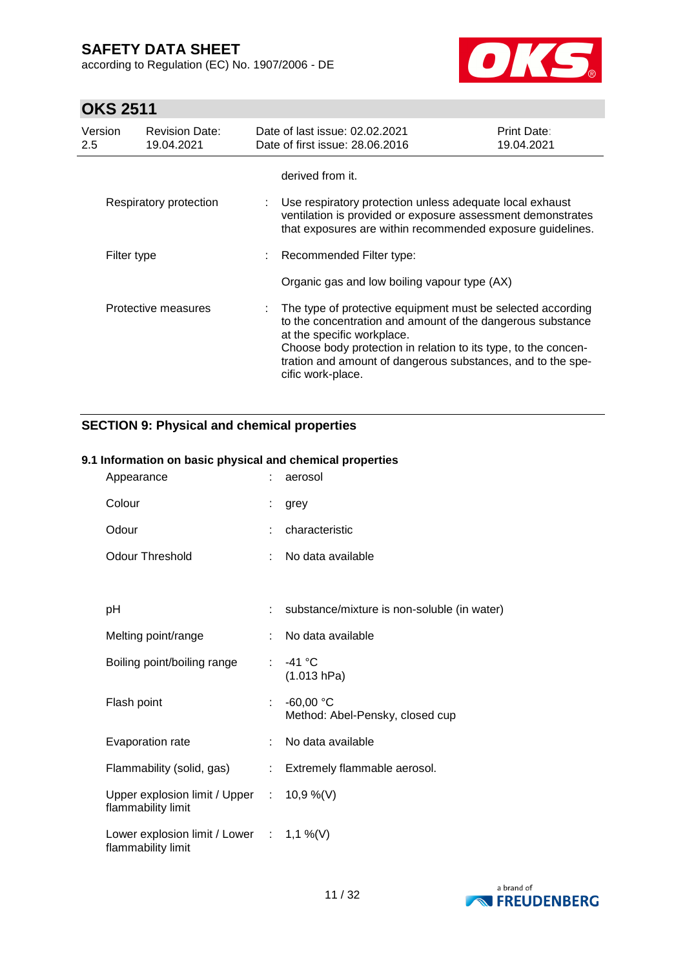according to Regulation (EC) No. 1907/2006 - DE



# **OKS 2511**

| Version<br>2.5 | <b>Revision Date:</b><br>19.04.2021 | Date of last issue: 02.02.2021<br>Date of first issue: 28.06.2016                                                                                                                                                                                                                                             | <b>Print Date:</b><br>19.04.2021 |
|----------------|-------------------------------------|---------------------------------------------------------------------------------------------------------------------------------------------------------------------------------------------------------------------------------------------------------------------------------------------------------------|----------------------------------|
|                | Respiratory protection              | derived from it.<br>Use respiratory protection unless adequate local exhaust<br>ventilation is provided or exposure assessment demonstrates                                                                                                                                                                   |                                  |
|                |                                     | that exposures are within recommended exposure guidelines.                                                                                                                                                                                                                                                    |                                  |
| Filter type    |                                     | : Recommended Filter type:<br>Organic gas and low boiling vapour type (AX)                                                                                                                                                                                                                                    |                                  |
|                | Protective measures                 | The type of protective equipment must be selected according<br>to the concentration and amount of the dangerous substance<br>at the specific workplace.<br>Choose body protection in relation to its type, to the concen-<br>tration and amount of dangerous substances, and to the spe-<br>cific work-place. |                                  |

### **SECTION 9: Physical and chemical properties**

### **9.1 Information on basic physical and chemical properties**

| Appearance                                                      |                               | aerosol                                        |
|-----------------------------------------------------------------|-------------------------------|------------------------------------------------|
| Colour                                                          |                               | grey                                           |
| Odour                                                           |                               | characteristic                                 |
| <b>Odour Threshold</b>                                          |                               | : No data available                            |
|                                                                 |                               |                                                |
| pH                                                              |                               | substance/mixture is non-soluble (in water)    |
| Melting point/range                                             | ÷.                            | No data available                              |
| Boiling point/boiling range                                     |                               | : $-41^{\circ}$ C<br>(1.013 hPa)               |
| Flash point                                                     | ÷                             | $-60,00 °C$<br>Method: Abel-Pensky, closed cup |
| Evaporation rate                                                |                               | : No data available                            |
| Flammability (solid, gas)                                       | $\mathcal{I}^{\mathcal{I}}$ . | Extremely flammable aerosol.                   |
| Upper explosion limit / Upper : 10,9 %(V)<br>flammability limit |                               |                                                |
| Lower explosion limit / Lower : 1,1 %(V)<br>flammability limit  |                               |                                                |

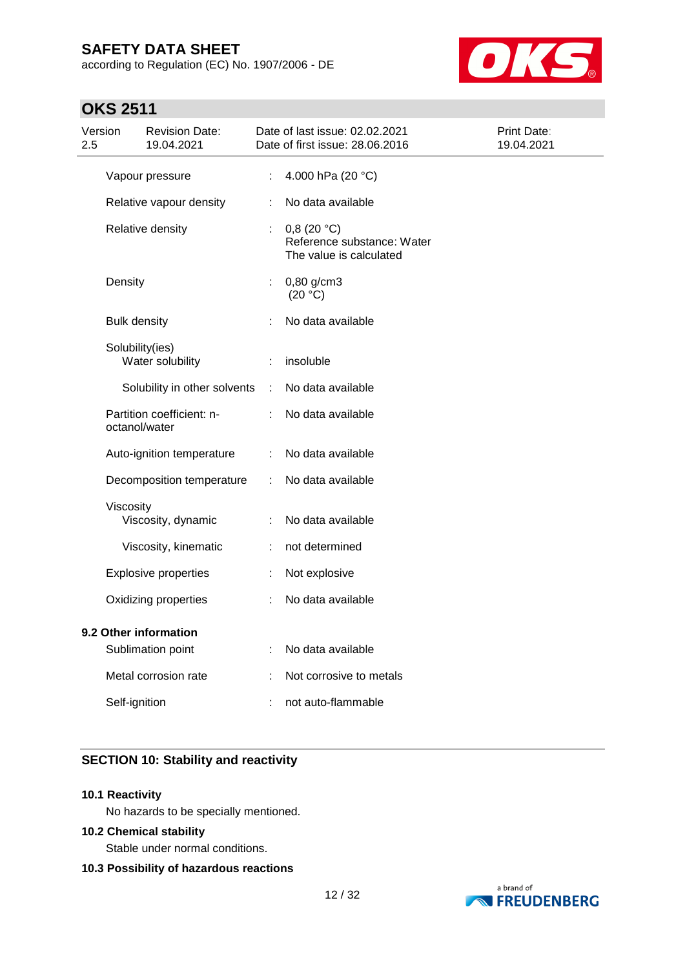according to Regulation (EC) No. 1907/2006 - DE



## **OKS 2511**

| 2.5                                        | Version             | <b>Revision Date:</b><br>19.04.2021 |                   | Date of last issue: 02.02.2021<br>Date of first issue: 28.06.2016   | Print Date:<br>19.04.2021 |
|--------------------------------------------|---------------------|-------------------------------------|-------------------|---------------------------------------------------------------------|---------------------------|
|                                            |                     | Vapour pressure                     | ÷                 | 4.000 hPa (20 °C)                                                   |                           |
|                                            |                     | Relative vapour density             | ÷                 | No data available                                                   |                           |
|                                            |                     | Relative density                    | ÷                 | 0,8(20 °C)<br>Reference substance: Water<br>The value is calculated |                           |
|                                            | Density             |                                     | ÷                 | 0,80 g/cm3<br>(20 °C)                                               |                           |
|                                            | <b>Bulk density</b> |                                     |                   | No data available                                                   |                           |
|                                            | Solubility(ies)     | Water solubility                    | ÷                 | insoluble                                                           |                           |
|                                            |                     | Solubility in other solvents        | ÷                 | No data available                                                   |                           |
|                                            | octanol/water       | Partition coefficient: n-           | ÷                 | No data available                                                   |                           |
|                                            |                     | Auto-ignition temperature           | ÷                 | No data available                                                   |                           |
|                                            |                     | Decomposition temperature           | ÷                 | No data available                                                   |                           |
|                                            | Viscosity           | Viscosity, dynamic                  | ÷                 | No data available                                                   |                           |
|                                            |                     | Viscosity, kinematic                |                   | not determined                                                      |                           |
|                                            |                     | <b>Explosive properties</b>         | ÷                 | Not explosive                                                       |                           |
|                                            |                     | Oxidizing properties                |                   | No data available                                                   |                           |
| 9.2 Other information<br>Sublimation point |                     | ÷                                   | No data available |                                                                     |                           |
|                                            |                     | Metal corrosion rate                |                   | Not corrosive to metals                                             |                           |
|                                            | Self-ignition       |                                     |                   | not auto-flammable                                                  |                           |
|                                            |                     |                                     |                   |                                                                     |                           |

### **SECTION 10: Stability and reactivity**

#### **10.1 Reactivity**

No hazards to be specially mentioned.

#### **10.2 Chemical stability**

Stable under normal conditions.

#### **10.3 Possibility of hazardous reactions**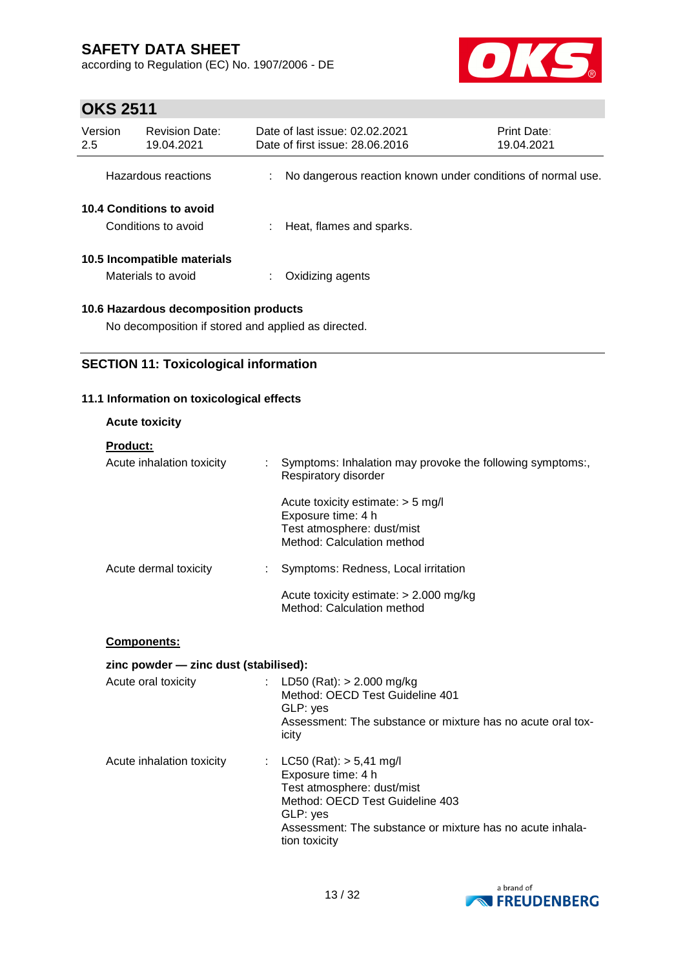according to Regulation (EC) No. 1907/2006 - DE



# **OKS 2511**

| Version<br>2.5                                  | <b>Revision Date:</b><br>19.04.2021               | Date of last issue: 02.02.2021<br>Date of first issue: 28,06,2016 | Print Date:<br>19.04.2021 |
|-------------------------------------------------|---------------------------------------------------|-------------------------------------------------------------------|---------------------------|
|                                                 | Hazardous reactions                               | No dangerous reaction known under conditions of normal use.       |                           |
| 10.4 Conditions to avoid<br>Conditions to avoid |                                                   | Heat, flames and sparks.                                          |                           |
|                                                 | 10.5 Incompatible materials<br>Materials to avoid | Oxidizing agents                                                  |                           |
|                                                 |                                                   |                                                                   |                           |

### **10.6 Hazardous decomposition products**

No decomposition if stored and applied as directed.

### **SECTION 11: Toxicological information**

### **11.1 Information on toxicological effects**

### **Acute toxicity**

#### **Product:**

| Acute inhalation toxicity | Symptoms: Inhalation may provoke the following symptoms:,<br>Respiratory disorder                                     |
|---------------------------|-----------------------------------------------------------------------------------------------------------------------|
|                           | Acute toxicity estimate: $>$ 5 mg/l<br>Exposure time: 4 h<br>Test atmosphere: dust/mist<br>Method: Calculation method |
| Acute dermal toxicity     | Symptoms: Redness, Local irritation                                                                                   |
|                           | Acute toxicity estimate: $> 2.000$ mg/kg<br>Method: Calculation method                                                |

#### **Components:**

#### **zinc powder — zinc dust (stabilised):**

| Acute oral toxicity       | LD50 (Rat): $> 2.000$ mg/kg<br>Method: OECD Test Guideline 401<br>GLP: yes<br>Assessment: The substance or mixture has no acute oral tox-<br>icity                                                           |
|---------------------------|--------------------------------------------------------------------------------------------------------------------------------------------------------------------------------------------------------------|
| Acute inhalation toxicity | : $LC50 (Rat): > 5,41 mg/l$<br>Exposure time: 4 h<br>Test atmosphere: dust/mist<br>Method: OECD Test Guideline 403<br>GLP: yes<br>Assessment: The substance or mixture has no acute inhala-<br>tion toxicity |

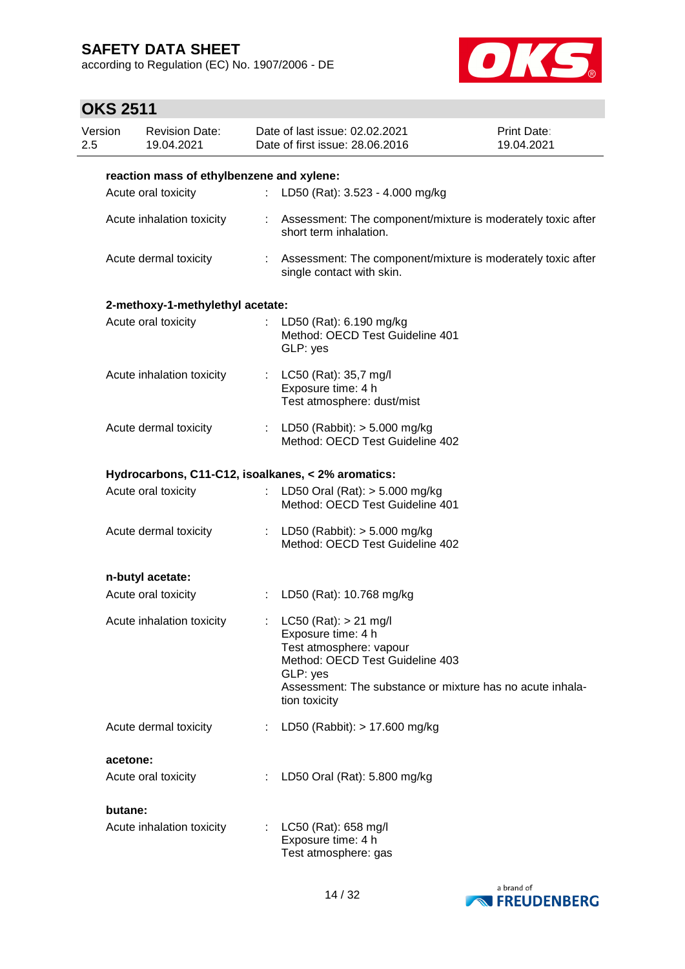according to Regulation (EC) No. 1907/2006 - DE



| Version<br>2.5 | <b>Revision Date:</b><br>19.04.2021       |                             | Date of last issue: 02.02.2021<br>Date of first issue: 28.06.2016                                                                                                                                       | Print Date:<br>19.04.2021 |
|----------------|-------------------------------------------|-----------------------------|---------------------------------------------------------------------------------------------------------------------------------------------------------------------------------------------------------|---------------------------|
|                | reaction mass of ethylbenzene and xylene: |                             |                                                                                                                                                                                                         |                           |
|                | Acute oral toxicity                       | ÷                           | LD50 (Rat): 3.523 - 4.000 mg/kg                                                                                                                                                                         |                           |
|                | Acute inhalation toxicity                 |                             | : Assessment: The component/mixture is moderately toxic after<br>short term inhalation.                                                                                                                 |                           |
|                | Acute dermal toxicity                     |                             | : Assessment: The component/mixture is moderately toxic after<br>single contact with skin.                                                                                                              |                           |
|                | 2-methoxy-1-methylethyl acetate:          |                             |                                                                                                                                                                                                         |                           |
|                | Acute oral toxicity                       |                             | LD50 (Rat): 6.190 mg/kg<br>Method: OECD Test Guideline 401<br>GLP: yes                                                                                                                                  |                           |
|                | Acute inhalation toxicity                 |                             | LC50 (Rat): 35,7 mg/l<br>Exposure time: 4 h<br>Test atmosphere: dust/mist                                                                                                                               |                           |
|                | Acute dermal toxicity                     |                             | : LD50 (Rabbit): $> 5.000$ mg/kg<br>Method: OECD Test Guideline 402                                                                                                                                     |                           |
|                |                                           |                             | Hydrocarbons, C11-C12, isoalkanes, < 2% aromatics:                                                                                                                                                      |                           |
|                | Acute oral toxicity                       | $\mathbb{Z}^{\times}$       | LD50 Oral (Rat): $> 5.000$ mg/kg<br>Method: OECD Test Guideline 401                                                                                                                                     |                           |
|                | Acute dermal toxicity                     | $\mathcal{L}^{\mathcal{L}}$ | LD50 (Rabbit): > 5.000 mg/kg<br>Method: OECD Test Guideline 402                                                                                                                                         |                           |
|                | n-butyl acetate:                          |                             |                                                                                                                                                                                                         |                           |
|                | Acute oral toxicity                       | $\mathbb{Z}^n$ .            | LD50 (Rat): 10.768 mg/kg                                                                                                                                                                                |                           |
|                | Acute inhalation toxicity                 |                             | : LC50 (Rat): $> 21$ mg/l<br>Exposure time: 4 h<br>Test atmosphere: vapour<br>Method: OECD Test Guideline 403<br>GLP: yes<br>Assessment: The substance or mixture has no acute inhala-<br>tion toxicity |                           |
|                | Acute dermal toxicity                     | ÷                           | LD50 (Rabbit): > 17.600 mg/kg                                                                                                                                                                           |                           |
| acetone:       |                                           |                             |                                                                                                                                                                                                         |                           |
|                | Acute oral toxicity                       |                             | LD50 Oral (Rat): 5.800 mg/kg                                                                                                                                                                            |                           |
| butane:        |                                           |                             |                                                                                                                                                                                                         |                           |
|                | Acute inhalation toxicity                 |                             | LC50 (Rat): 658 mg/l<br>Exposure time: 4 h<br>Test atmosphere: gas                                                                                                                                      |                           |

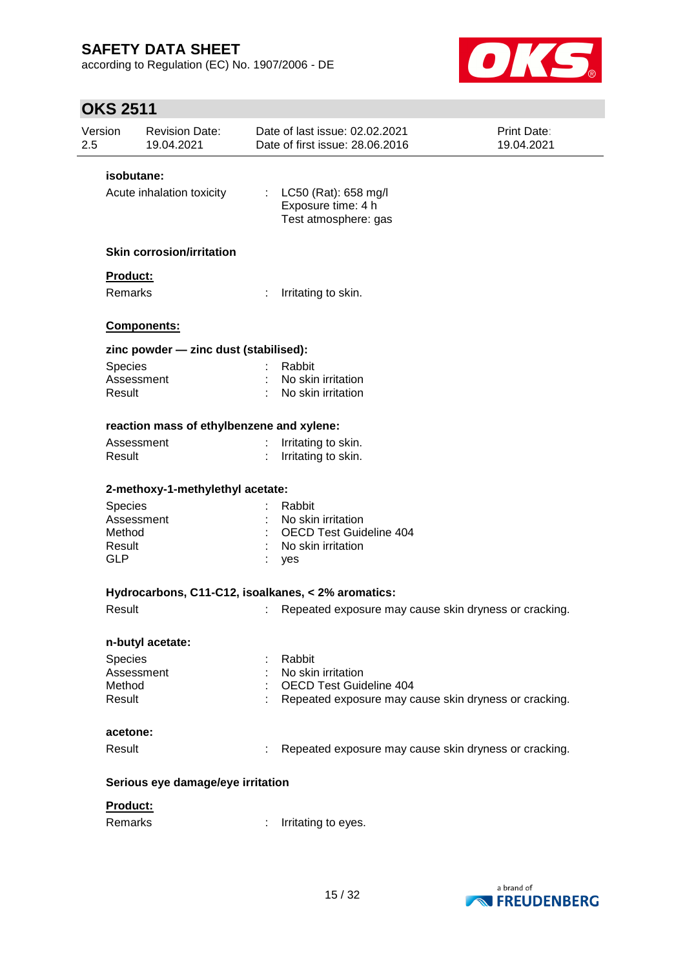according to Regulation (EC) No. 1907/2006 - DE



| Version<br>2.5 | <b>Revision Date:</b><br>19.04.2021       | Date of last issue: 02.02.2021<br>Date of first issue: 28.06.2016    | <b>Print Date:</b><br>19.04.2021 |
|----------------|-------------------------------------------|----------------------------------------------------------------------|----------------------------------|
|                | isobutane:                                |                                                                      |                                  |
|                | Acute inhalation toxicity                 | : LC50 (Rat): 658 mg/l<br>Exposure time: 4 h<br>Test atmosphere: gas |                                  |
|                | <b>Skin corrosion/irritation</b>          |                                                                      |                                  |
|                | Product:                                  |                                                                      |                                  |
|                | Remarks                                   | ÷<br>Irritating to skin.                                             |                                  |
|                | Components:                               |                                                                      |                                  |
|                | zinc powder - zinc dust (stabilised):     |                                                                      |                                  |
|                | <b>Species</b>                            | Rabbit                                                               |                                  |
|                | Assessment                                | No skin irritation                                                   |                                  |
|                | Result                                    | No skin irritation                                                   |                                  |
|                | reaction mass of ethylbenzene and xylene: |                                                                      |                                  |
|                | Assessment                                | Irritating to skin.                                                  |                                  |
|                | Result                                    | Irritating to skin.                                                  |                                  |
|                | 2-methoxy-1-methylethyl acetate:          |                                                                      |                                  |
|                | <b>Species</b>                            | Rabbit                                                               |                                  |
|                | Assessment                                | No skin irritation                                                   |                                  |
|                | Method                                    | <b>OECD Test Guideline 404</b>                                       |                                  |
|                | Result                                    | No skin irritation                                                   |                                  |
|                | <b>GLP</b>                                | yes                                                                  |                                  |
|                |                                           | Hydrocarbons, C11-C12, isoalkanes, < 2% aromatics:                   |                                  |
|                | Result                                    | Repeated exposure may cause skin dryness or cracking.<br>t           |                                  |
|                | n-butyl acetate:                          |                                                                      |                                  |
|                | Species                                   | Rabbit                                                               |                                  |
|                | Assessment                                | No skin irritation                                                   |                                  |
|                | Method                                    | OECD Test Guideline 404                                              |                                  |
|                | Result                                    | Repeated exposure may cause skin dryness or cracking.                |                                  |
|                | acetone:                                  |                                                                      |                                  |
|                | Result                                    | Repeated exposure may cause skin dryness or cracking.<br>÷           |                                  |
|                | Serious eye damage/eye irritation         |                                                                      |                                  |
|                | Product:                                  |                                                                      |                                  |
|                | Remarks                                   | Irritating to eyes.                                                  |                                  |
|                |                                           |                                                                      |                                  |

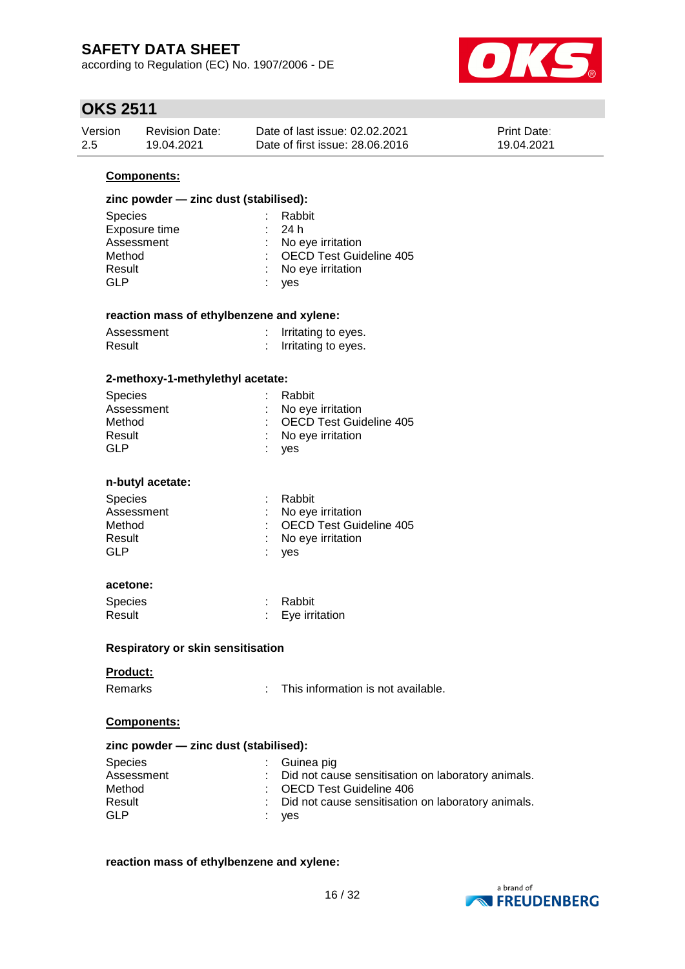according to Regulation (EC) No. 1907/2006 - DE



## **OKS 2511**

| Version | <b>Revision Date:</b> | Date of last issue: 02.02.2021  | <b>Print Date:</b> |
|---------|-----------------------|---------------------------------|--------------------|
| 2.5     | 19.04.2021            | Date of first issue: 28.06.2016 | 19.04.2021         |

#### **Components:**

### **zinc powder — zinc dust (stabilised):**

| <b>Species</b> | : Rabbit                  |
|----------------|---------------------------|
| Exposure time  | : 24h                     |
| Assessment     | : No eye irritation       |
| Method         | : OECD Test Guideline 405 |
| Result         | : No eye irritation       |
| GLP            | : yes                     |

#### **reaction mass of ethylbenzene and xylene:**

| Assessment | Irritating to eyes. |
|------------|---------------------|
| Result     | Irritating to eyes. |

#### **2-methoxy-1-methylethyl acetate:**

| <b>Species</b> | : Rabbit                       |
|----------------|--------------------------------|
| Assessment     | $\therefore$ No eye irritation |
| Method         | : OECD Test Guideline 405      |
| Result         | : No eye irritation            |
| GLP            | : ves                          |
|                |                                |

#### **n-butyl acetate:**

| <b>Species</b> | : Rabbit                  |
|----------------|---------------------------|
| Assessment     | : No eve irritation       |
| Method         | : OECD Test Guideline 405 |
| Result         | : No eve irritation       |
| GLP            | : yes                     |
|                |                           |

#### **acetone:**

| Species | Rabbit         |
|---------|----------------|
| Result  | Eye irritation |

#### **Respiratory or skin sensitisation**

#### **Product:**

: This information is not available.

#### **Components:**

#### **zinc powder — zinc dust (stabilised):**

| Species    | $\therefore$ Guinea pig                              |
|------------|------------------------------------------------------|
| Assessment | : Did not cause sensitisation on laboratory animals. |
| Method     | : OECD Test Guideline 406                            |
| Result     | : Did not cause sensitisation on laboratory animals. |
| GLP        | : ves                                                |

#### **reaction mass of ethylbenzene and xylene:**

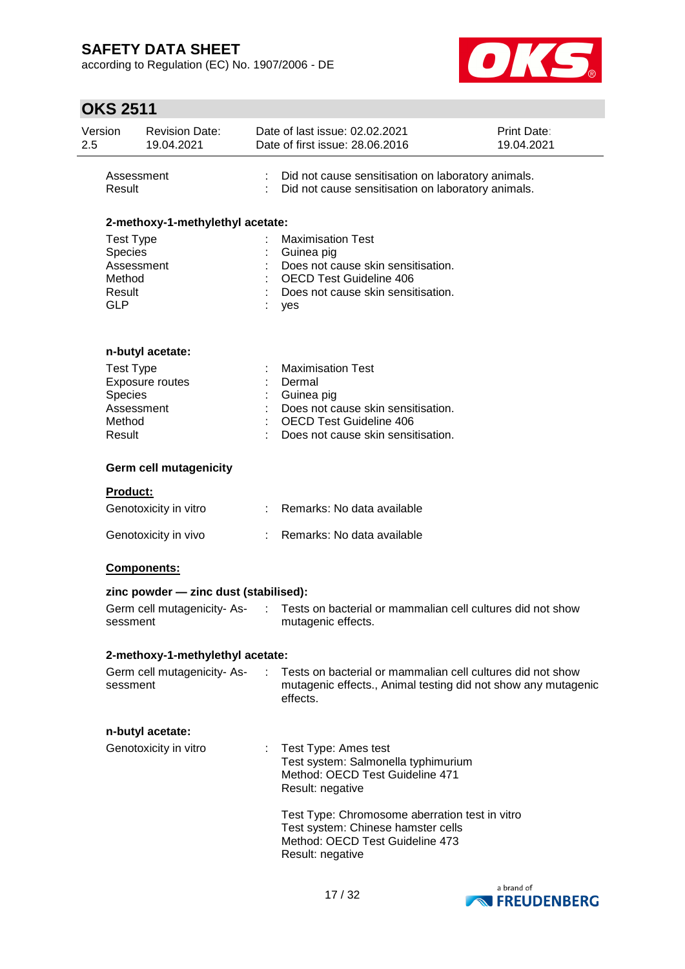according to Regulation (EC) No. 1907/2006 - DE



| Version<br>2.5                            | <b>Revision Date:</b><br>19.04.2021               |            | Date of last issue: 02.02.2021<br>Date of first issue: 28.06.2016                                                                                                                                                                                                 | Print Date:<br>19.04.2021 |
|-------------------------------------------|---------------------------------------------------|------------|-------------------------------------------------------------------------------------------------------------------------------------------------------------------------------------------------------------------------------------------------------------------|---------------------------|
| Result                                    | Assessment                                        |            | Did not cause sensitisation on laboratory animals.<br>Did not cause sensitisation on laboratory animals.                                                                                                                                                          |                           |
|                                           | 2-methoxy-1-methylethyl acetate:                  |            |                                                                                                                                                                                                                                                                   |                           |
| Species<br>Method<br>Result<br><b>GLP</b> | <b>Test Type</b><br>Assessment                    |            | <b>Maximisation Test</b><br>Guinea pig<br>Does not cause skin sensitisation.<br><b>OECD Test Guideline 406</b><br>Does not cause skin sensitisation.<br>yes                                                                                                       |                           |
|                                           | n-butyl acetate:                                  |            |                                                                                                                                                                                                                                                                   |                           |
| Species<br>Method<br>Result               | <b>Test Type</b><br>Exposure routes<br>Assessment |            | <b>Maximisation Test</b><br>Dermal<br>Guinea pig<br>Does not cause skin sensitisation.<br><b>OECD Test Guideline 406</b><br>Does not cause skin sensitisation.                                                                                                    |                           |
|                                           | <b>Germ cell mutagenicity</b>                     |            |                                                                                                                                                                                                                                                                   |                           |
|                                           | <b>Product:</b>                                   |            |                                                                                                                                                                                                                                                                   |                           |
|                                           | Genotoxicity in vitro                             |            | Remarks: No data available                                                                                                                                                                                                                                        |                           |
|                                           | Genotoxicity in vivo                              |            | Remarks: No data available                                                                                                                                                                                                                                        |                           |
|                                           | Components:                                       |            |                                                                                                                                                                                                                                                                   |                           |
|                                           | zinc powder - zinc dust (stabilised):             |            |                                                                                                                                                                                                                                                                   |                           |
|                                           | Germ cell mutagenicity-As-<br>sessment            | $\sim 100$ | Tests on bacterial or mammalian cell cultures did not show<br>mutagenic effects.                                                                                                                                                                                  |                           |
|                                           | 2-methoxy-1-methylethyl acetate:                  |            |                                                                                                                                                                                                                                                                   |                           |
|                                           | Germ cell mutagenicity-As-<br>sessment            | ÷.         | Tests on bacterial or mammalian cell cultures did not show<br>mutagenic effects., Animal testing did not show any mutagenic<br>effects.                                                                                                                           |                           |
|                                           | n-butyl acetate:                                  |            |                                                                                                                                                                                                                                                                   |                           |
|                                           | Genotoxicity in vitro                             |            | Test Type: Ames test<br>Test system: Salmonella typhimurium<br>Method: OECD Test Guideline 471<br>Result: negative<br>Test Type: Chromosome aberration test in vitro<br>Test system: Chinese hamster cells<br>Method: OECD Test Guideline 473<br>Result: negative |                           |
|                                           |                                                   |            |                                                                                                                                                                                                                                                                   |                           |

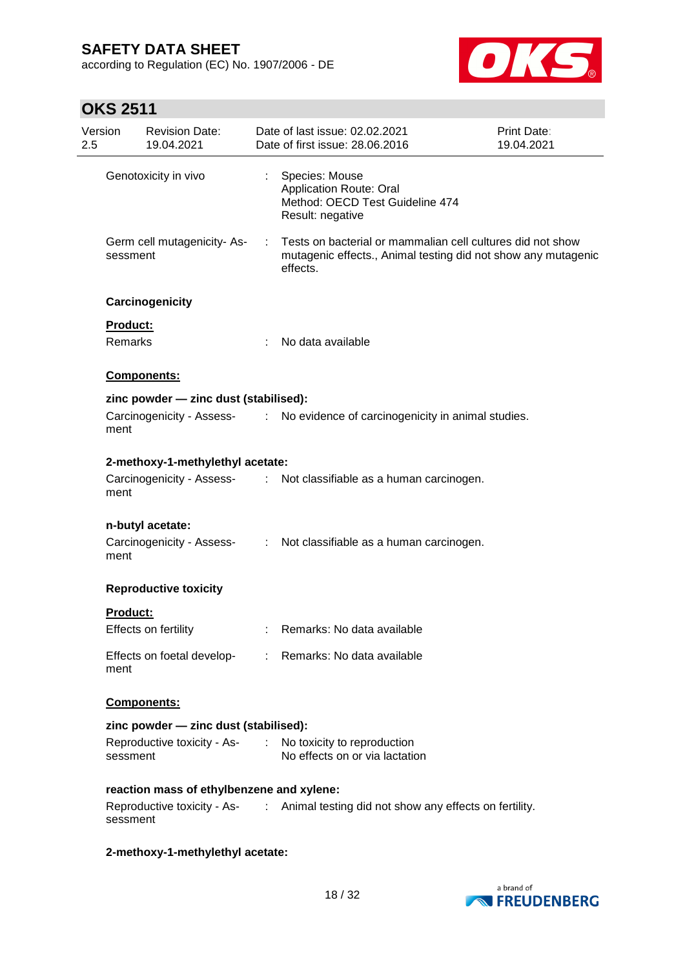according to Regulation (EC) No. 1907/2006 - DE



| Version<br>2.5  | <b>Revision Date:</b><br>19.04.2021       |           | Date of last issue: 02.02.2021<br>Date of first issue: 28.06.2016                                                                       | Print Date:<br>19.04.2021 |
|-----------------|-------------------------------------------|-----------|-----------------------------------------------------------------------------------------------------------------------------------------|---------------------------|
|                 | Genotoxicity in vivo                      |           | Species: Mouse<br><b>Application Route: Oral</b><br>Method: OECD Test Guideline 474<br>Result: negative                                 |                           |
| sessment        | Germ cell mutagenicity-As-                | $\sim 10$ | Tests on bacterial or mammalian cell cultures did not show<br>mutagenic effects., Animal testing did not show any mutagenic<br>effects. |                           |
|                 | Carcinogenicity                           |           |                                                                                                                                         |                           |
| Product:        |                                           |           |                                                                                                                                         |                           |
| Remarks         |                                           |           | No data available                                                                                                                       |                           |
|                 | <b>Components:</b>                        |           |                                                                                                                                         |                           |
|                 | zinc powder - zinc dust (stabilised):     |           |                                                                                                                                         |                           |
| ment            |                                           |           | Carcinogenicity - Assess- : No evidence of carcinogenicity in animal studies.                                                           |                           |
|                 | 2-methoxy-1-methylethyl acetate:          |           |                                                                                                                                         |                           |
| ment            |                                           |           | Carcinogenicity - Assess- : Not classifiable as a human carcinogen.                                                                     |                           |
|                 | n-butyl acetate:                          |           |                                                                                                                                         |                           |
| ment            |                                           |           | Carcinogenicity - Assess- : Not classifiable as a human carcinogen.                                                                     |                           |
|                 | <b>Reproductive toxicity</b>              |           |                                                                                                                                         |                           |
| <b>Product:</b> |                                           |           |                                                                                                                                         |                           |
|                 | Effects on fertility                      |           | Remarks: No data available                                                                                                              |                           |
| ment            |                                           |           | Effects on foetal develop- : Remarks: No data available                                                                                 |                           |
|                 | Components:                               |           |                                                                                                                                         |                           |
|                 | zinc powder - zinc dust (stabilised):     |           |                                                                                                                                         |                           |
| sessment        |                                           |           | Reproductive toxicity - As- : No toxicity to reproduction<br>No effects on or via lactation                                             |                           |
|                 | reaction mass of ethylbenzene and xylene: |           |                                                                                                                                         |                           |
| sessment        |                                           |           | Reproductive toxicity - As- : Animal testing did not show any effects on fertility.                                                     |                           |
|                 | 2-methoxy-1-methylethyl acetate:          |           |                                                                                                                                         |                           |

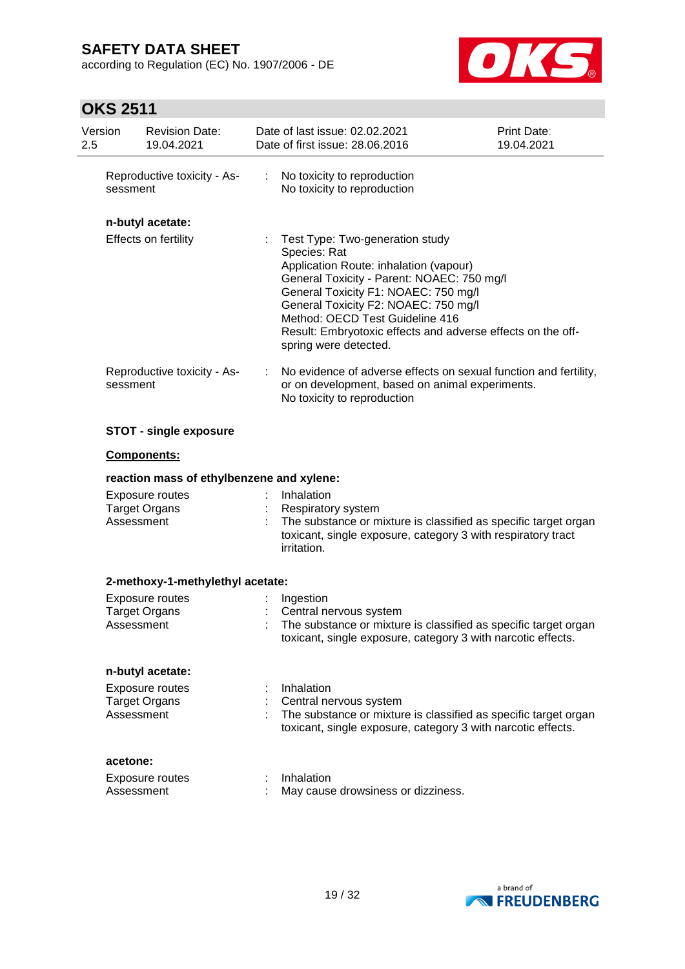according to Regulation (EC) No. 1907/2006 - DE



| Version<br><b>Revision Date:</b><br>2.5<br>19.04.2021                                            | Date of last issue: 02.02.2021<br>Date of first issue: 28.06.2016                                                                                                                                                                                                                                                                                  | Print Date:<br>19.04.2021 |
|--------------------------------------------------------------------------------------------------|----------------------------------------------------------------------------------------------------------------------------------------------------------------------------------------------------------------------------------------------------------------------------------------------------------------------------------------------------|---------------------------|
| Reproductive toxicity - As-<br>sessment                                                          | ÷<br>No toxicity to reproduction<br>No toxicity to reproduction                                                                                                                                                                                                                                                                                    |                           |
| n-butyl acetate:                                                                                 |                                                                                                                                                                                                                                                                                                                                                    |                           |
| Effects on fertility                                                                             | Test Type: Two-generation study<br>Species: Rat<br>Application Route: inhalation (vapour)<br>General Toxicity - Parent: NOAEC: 750 mg/l<br>General Toxicity F1: NOAEC: 750 mg/l<br>General Toxicity F2: NOAEC: 750 mg/l<br>Method: OECD Test Guideline 416<br>Result: Embryotoxic effects and adverse effects on the off-<br>spring were detected. |                           |
| Reproductive toxicity - As-<br>sessment                                                          | No evidence of adverse effects on sexual function and fertility,<br>or on development, based on animal experiments.<br>No toxicity to reproduction                                                                                                                                                                                                 |                           |
| <b>STOT - single exposure</b>                                                                    |                                                                                                                                                                                                                                                                                                                                                    |                           |
| <b>Components:</b>                                                                               |                                                                                                                                                                                                                                                                                                                                                    |                           |
| reaction mass of ethylbenzene and xylene:                                                        |                                                                                                                                                                                                                                                                                                                                                    |                           |
|                                                                                                  |                                                                                                                                                                                                                                                                                                                                                    |                           |
| Exposure routes<br><b>Target Organs</b><br>Assessment                                            | Inhalation<br>Respiratory system<br>The substance or mixture is classified as specific target organ<br>toxicant, single exposure, category 3 with respiratory tract<br>irritation.                                                                                                                                                                 |                           |
|                                                                                                  |                                                                                                                                                                                                                                                                                                                                                    |                           |
| 2-methoxy-1-methylethyl acetate:<br><b>Exposure routes</b><br><b>Target Organs</b><br>Assessment | Ingestion<br>Central nervous system<br>The substance or mixture is classified as specific target organ<br>toxicant, single exposure, category 3 with narcotic effects.                                                                                                                                                                             |                           |
| n-butyl acetate:                                                                                 |                                                                                                                                                                                                                                                                                                                                                    |                           |
| <b>Exposure routes</b><br><b>Target Organs</b><br>Assessment                                     | Inhalation<br>Central nervous system<br>The substance or mixture is classified as specific target organ<br>toxicant, single exposure, category 3 with narcotic effects.                                                                                                                                                                            |                           |
| acetone:                                                                                         |                                                                                                                                                                                                                                                                                                                                                    |                           |

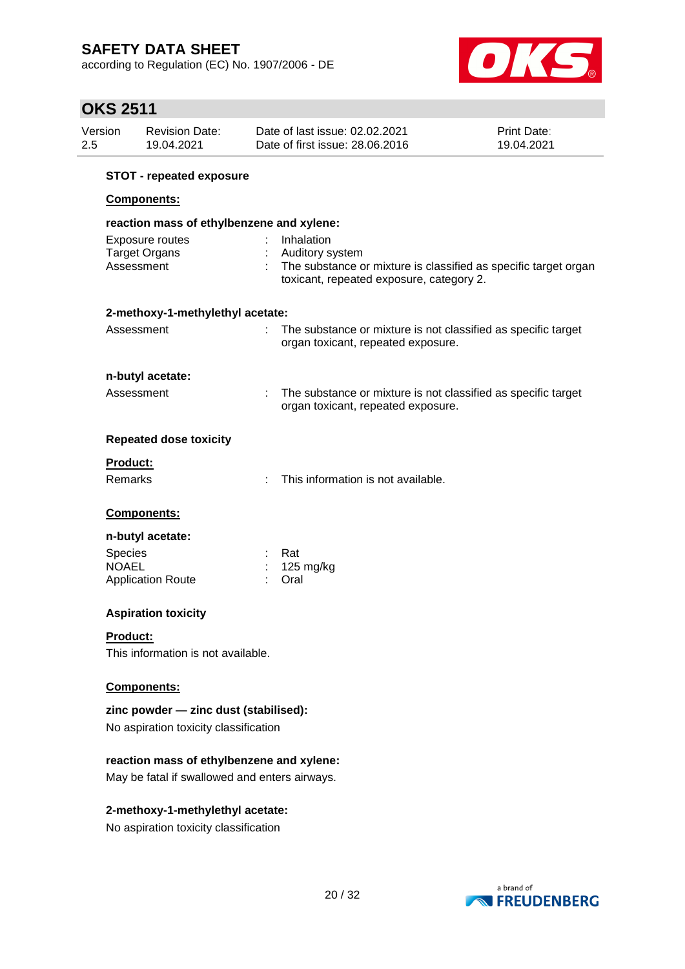according to Regulation (EC) No. 1907/2006 - DE



# **OKS 2511**

| <b>∕INU ŁUII</b><br>Version<br>2.5 | <b>Revision Date:</b><br>19.04.2021       | Date of last issue: 02.02.2021<br>Date of first issue: 28.06.2016                                                              | Print Date:<br>19.04.2021 |
|------------------------------------|-------------------------------------------|--------------------------------------------------------------------------------------------------------------------------------|---------------------------|
|                                    |                                           |                                                                                                                                |                           |
|                                    | <b>STOT - repeated exposure</b>           |                                                                                                                                |                           |
|                                    | Components:                               |                                                                                                                                |                           |
|                                    | reaction mass of ethylbenzene and xylene: |                                                                                                                                |                           |
|                                    | Exposure routes                           | Inhalation                                                                                                                     |                           |
|                                    | <b>Target Organs</b><br>Assessment        | Auditory system<br>The substance or mixture is classified as specific target organ<br>toxicant, repeated exposure, category 2. |                           |
|                                    | 2-methoxy-1-methylethyl acetate:          |                                                                                                                                |                           |
|                                    | Assessment                                | The substance or mixture is not classified as specific target<br>organ toxicant, repeated exposure.                            |                           |
|                                    | n-butyl acetate:                          |                                                                                                                                |                           |
|                                    | Assessment                                | The substance or mixture is not classified as specific target<br>organ toxicant, repeated exposure.                            |                           |
|                                    | <b>Repeated dose toxicity</b>             |                                                                                                                                |                           |
| Product:                           |                                           |                                                                                                                                |                           |
| <b>Remarks</b>                     |                                           | This information is not available.                                                                                             |                           |
|                                    | Components:                               |                                                                                                                                |                           |
|                                    | n-butyl acetate:                          |                                                                                                                                |                           |
| Species                            |                                           | Rat                                                                                                                            |                           |
| <b>NOAEL</b>                       | <b>Application Route</b>                  | 125 mg/kg<br>Oral                                                                                                              |                           |
|                                    | <b>Aspiration toxicity</b>                |                                                                                                                                |                           |
| <b>Product:</b>                    |                                           |                                                                                                                                |                           |
|                                    | This information is a stronger later      |                                                                                                                                |                           |

This information is not available.

### **Components:**

**zinc powder — zinc dust (stabilised):** No aspiration toxicity classification

#### **reaction mass of ethylbenzene and xylene:**

May be fatal if swallowed and enters airways.

#### **2-methoxy-1-methylethyl acetate:**

No aspiration toxicity classification

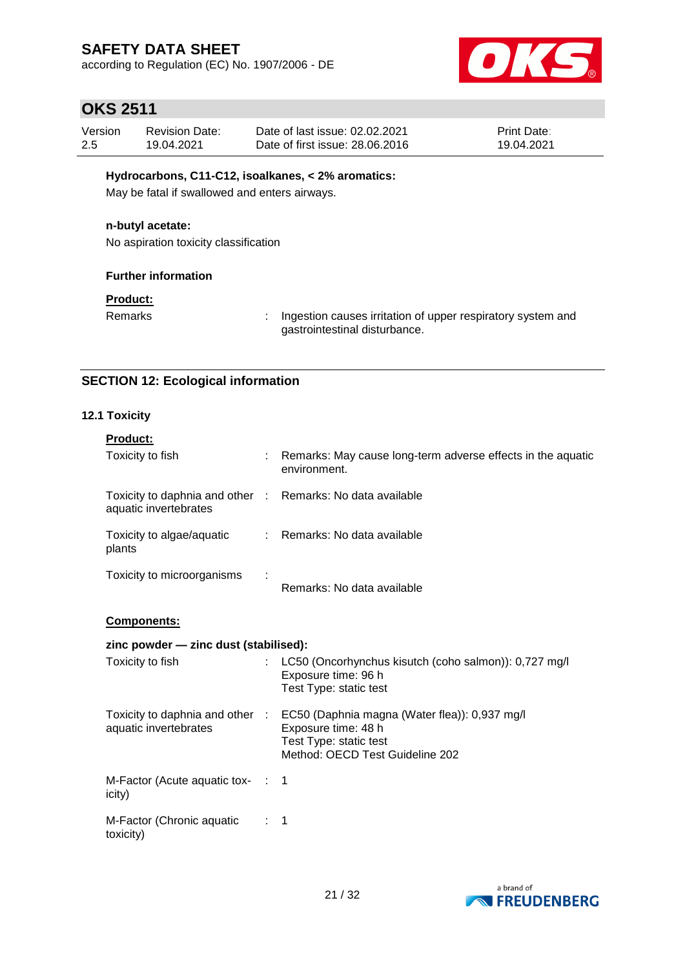according to Regulation (EC) No. 1907/2006 - DE



## **OKS 2511**

| Version | <b>Revision Date:</b> | Date of last issue: 02.02.2021  | <b>Print Date:</b> |
|---------|-----------------------|---------------------------------|--------------------|
| 2.5     | 19.04.2021            | Date of first issue: 28.06.2016 | 19.04.2021         |

#### **Hydrocarbons, C11-C12, isoalkanes, < 2% aromatics:**

May be fatal if swallowed and enters airways.

#### **n-butyl acetate:**

No aspiration toxicity classification

#### **Further information**

### **Product:**

Remarks : Ingestion causes irritation of upper respiratory system and gastrointestinal disturbance.

### **SECTION 12: Ecological information**

#### **12.1 Toxicity**

toxicity)

| <b>Product:</b>                                                                     |                                                                                                          |
|-------------------------------------------------------------------------------------|----------------------------------------------------------------------------------------------------------|
| Toxicity to fish                                                                    | : Remarks: May cause long-term adverse effects in the aquatic<br>environment.                            |
| Toxicity to daphnia and other : Remarks: No data available<br>aquatic invertebrates |                                                                                                          |
| Toxicity to algae/aquatic : Remarks: No data available<br>plants                    |                                                                                                          |
| Toxicity to microorganisms                                                          | Remarks: No data available                                                                               |
| <b>Components:</b>                                                                  |                                                                                                          |
| zinc powder - zinc dust (stabilised):                                               |                                                                                                          |
| Toxicity to fish                                                                    | : LC50 (Oncorhynchus kisutch (coho salmon)): 0,727 mg/l<br>Exposure time: 96 h<br>Test Type: static test |
|                                                                                     | Toxicity to daphnia and other : EC50 (Daphnia magna (Water flea)): 0,937 mg/l                            |

| aquatic invertebrates                      |  | Exposure time: 48 h<br>Test Type: static test<br>Method: OECD Test Guideline 202 |  |  |  |
|--------------------------------------------|--|----------------------------------------------------------------------------------|--|--|--|
| M-Factor (Acute aquatic tox- : 1<br>icity) |  |                                                                                  |  |  |  |
| M-Factor (Chronic aquatic                  |  |                                                                                  |  |  |  |

a brand of **EREUDENBERG**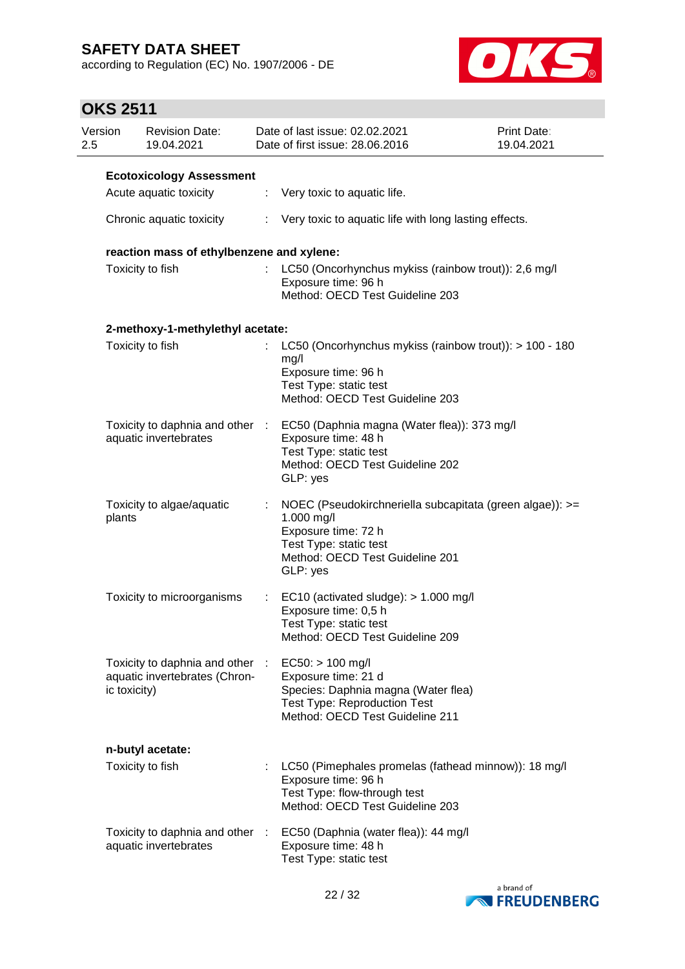according to Regulation (EC) No. 1907/2006 - DE



| Version<br>2.5 |                  | <b>Revision Date:</b><br>19.04.2021                            |                | Date of last issue: 02.02.2021<br>Date of first issue: 28.06.2016                                                                                                      | Print Date:<br>19.04.2021 |
|----------------|------------------|----------------------------------------------------------------|----------------|------------------------------------------------------------------------------------------------------------------------------------------------------------------------|---------------------------|
|                |                  | <b>Ecotoxicology Assessment</b>                                |                |                                                                                                                                                                        |                           |
|                |                  | Acute aquatic toxicity                                         |                | $\therefore$ Very toxic to aquatic life.                                                                                                                               |                           |
|                |                  | Chronic aquatic toxicity                                       |                | : Very toxic to aquatic life with long lasting effects.                                                                                                                |                           |
|                |                  | reaction mass of ethylbenzene and xylene:                      |                |                                                                                                                                                                        |                           |
|                | Toxicity to fish |                                                                |                | LC50 (Oncorhynchus mykiss (rainbow trout)): 2,6 mg/l<br>Exposure time: 96 h<br>Method: OECD Test Guideline 203                                                         |                           |
|                |                  | 2-methoxy-1-methylethyl acetate:                               |                |                                                                                                                                                                        |                           |
|                |                  | Toxicity to fish                                               |                | LC50 (Oncorhynchus mykiss (rainbow trout)): > 100 - 180<br>mg/l<br>Exposure time: 96 h<br>Test Type: static test<br>Method: OECD Test Guideline 203                    |                           |
|                |                  | Toxicity to daphnia and other :<br>aquatic invertebrates       |                | EC50 (Daphnia magna (Water flea)): 373 mg/l<br>Exposure time: 48 h<br>Test Type: static test<br>Method: OECD Test Guideline 202<br>GLP: yes                            |                           |
|                | plants           | Toxicity to algae/aquatic                                      |                | NOEC (Pseudokirchneriella subcapitata (green algae)): >=<br>1.000 mg/l<br>Exposure time: 72 h<br>Test Type: static test<br>Method: OECD Test Guideline 201<br>GLP: yes |                           |
|                |                  | Toxicity to microorganisms                                     | $\mathbb{Z}^n$ | EC10 (activated sludge): $> 1.000$ mg/l<br>Exposure time: 0,5 h<br>Test Type: static test<br>Method: OECD Test Guideline 209                                           |                           |
|                | ic toxicity)     | Toxicity to daphnia and other<br>aquatic invertebrates (Chron- |                | $EC50:$ > 100 mg/l<br>Exposure time: 21 d<br>Species: Daphnia magna (Water flea)<br><b>Test Type: Reproduction Test</b><br>Method: OECD Test Guideline 211             |                           |
|                |                  | n-butyl acetate:                                               |                |                                                                                                                                                                        |                           |
|                |                  | Toxicity to fish                                               |                | LC50 (Pimephales promelas (fathead minnow)): 18 mg/l<br>Exposure time: 96 h<br>Test Type: flow-through test<br>Method: OECD Test Guideline 203                         |                           |
|                |                  | Toxicity to daphnia and other<br>aquatic invertebrates         |                | EC50 (Daphnia (water flea)): 44 mg/l<br>Exposure time: 48 h<br>Test Type: static test                                                                                  |                           |

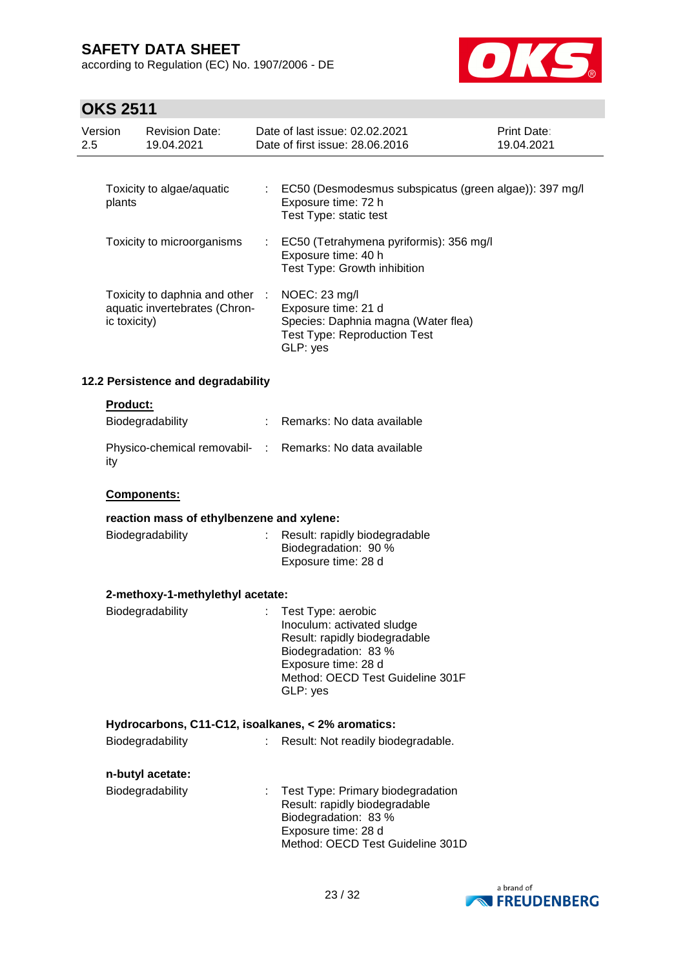according to Regulation (EC) No. 1907/2006 - DE



| Version<br>2.5 |                 | <b>Revision Date:</b><br>19.04.2021                            |      | Date of last issue: 02.02.2021<br>Date of first issue: 28.06.2016                                                                                                                | Print Date:<br>19.04.2021 |
|----------------|-----------------|----------------------------------------------------------------|------|----------------------------------------------------------------------------------------------------------------------------------------------------------------------------------|---------------------------|
|                |                 |                                                                |      |                                                                                                                                                                                  |                           |
|                | plants          | Toxicity to algae/aquatic                                      | ÷.   | EC50 (Desmodesmus subspicatus (green algae)): 397 mg/l<br>Exposure time: 72 h<br>Test Type: static test                                                                          |                           |
|                |                 | Toxicity to microorganisms                                     |      | EC50 (Tetrahymena pyriformis): 356 mg/l<br>Exposure time: 40 h<br>Test Type: Growth inhibition                                                                                   |                           |
|                | ic toxicity)    | Toxicity to daphnia and other<br>aquatic invertebrates (Chron- | - 11 | NOEC: 23 mg/l<br>Exposure time: 21 d<br>Species: Daphnia magna (Water flea)<br><b>Test Type: Reproduction Test</b><br>GLP: yes                                                   |                           |
|                |                 | 12.2 Persistence and degradability                             |      |                                                                                                                                                                                  |                           |
|                | <b>Product:</b> |                                                                |      |                                                                                                                                                                                  |                           |
|                |                 | Biodegradability                                               |      | Remarks: No data available                                                                                                                                                       |                           |
|                | ity             | Physico-chemical removabil- :                                  |      | Remarks: No data available                                                                                                                                                       |                           |
|                |                 | Components:                                                    |      |                                                                                                                                                                                  |                           |
|                |                 | reaction mass of ethylbenzene and xylene:                      |      |                                                                                                                                                                                  |                           |
|                |                 | Biodegradability                                               |      | Result: rapidly biodegradable<br>Biodegradation: 90 %<br>Exposure time: 28 d                                                                                                     |                           |
|                |                 | 2-methoxy-1-methylethyl acetate:                               |      |                                                                                                                                                                                  |                           |
|                |                 | Biodegradability                                               |      | Test Type: aerobic<br>Inoculum: activated sludge<br>Result: rapidly biodegradable<br>Biodegradation: 83 %<br>Exposure time: 28 d<br>Method: OECD Test Guideline 301F<br>GLP: yes |                           |
|                |                 |                                                                |      | Hydrocarbons, C11-C12, isoalkanes, < 2% aromatics:                                                                                                                               |                           |
|                |                 | Biodegradability                                               |      | Result: Not readily biodegradable.                                                                                                                                               |                           |
|                |                 | n-butyl acetate:                                               |      |                                                                                                                                                                                  |                           |
|                |                 | Biodegradability                                               |      | Test Type: Primary biodegradation<br>Result: rapidly biodegradable<br>Biodegradation: 83 %<br>Exposure time: 28 d<br>Method: OECD Test Guideline 301D                            |                           |

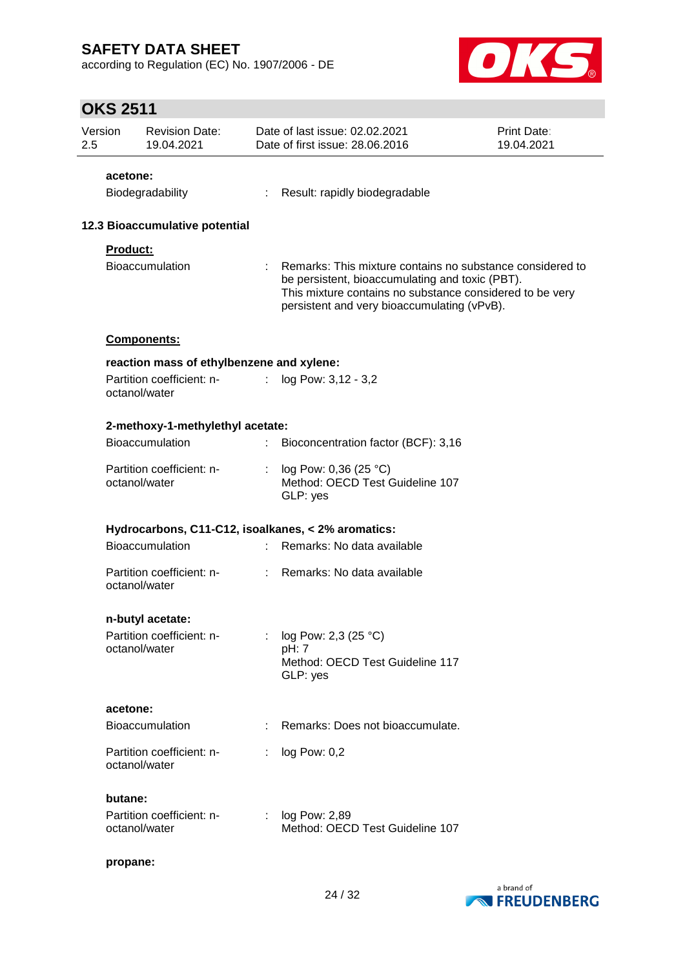according to Regulation (EC) No. 1907/2006 - DE



| Version<br>2.5 | <b>Revision Date:</b><br>19.04.2021                |    | Date of last issue: 02.02.2021<br>Date of first issue: 28.06.2016                                                                                                                                                       | Print Date:<br>19.04.2021 |
|----------------|----------------------------------------------------|----|-------------------------------------------------------------------------------------------------------------------------------------------------------------------------------------------------------------------------|---------------------------|
|                | acetone:                                           |    |                                                                                                                                                                                                                         |                           |
|                | Biodegradability                                   |    | Result: rapidly biodegradable                                                                                                                                                                                           |                           |
|                | 12.3 Bioaccumulative potential                     |    |                                                                                                                                                                                                                         |                           |
|                | <b>Product:</b>                                    |    |                                                                                                                                                                                                                         |                           |
|                | Bioaccumulation                                    |    | Remarks: This mixture contains no substance considered to<br>be persistent, bioaccumulating and toxic (PBT).<br>This mixture contains no substance considered to be very<br>persistent and very bioaccumulating (vPvB). |                           |
|                | <b>Components:</b>                                 |    |                                                                                                                                                                                                                         |                           |
|                | reaction mass of ethylbenzene and xylene:          |    |                                                                                                                                                                                                                         |                           |
|                | Partition coefficient: n-<br>octanol/water         | ÷  | log Pow: 3,12 - 3,2                                                                                                                                                                                                     |                           |
|                | 2-methoxy-1-methylethyl acetate:                   |    |                                                                                                                                                                                                                         |                           |
|                | <b>Bioaccumulation</b>                             | t. | Bioconcentration factor (BCF): 3,16                                                                                                                                                                                     |                           |
|                | Partition coefficient: n-<br>octanol/water         | ÷  | log Pow: 0,36 (25 °C)<br>Method: OECD Test Guideline 107<br>GLP: yes                                                                                                                                                    |                           |
|                | Hydrocarbons, C11-C12, isoalkanes, < 2% aromatics: |    |                                                                                                                                                                                                                         |                           |
|                | Bioaccumulation                                    |    | Remarks: No data available                                                                                                                                                                                              |                           |
|                | Partition coefficient: n-<br>octanol/water         |    | Remarks: No data available                                                                                                                                                                                              |                           |
|                | n-butyl acetate:                                   |    |                                                                                                                                                                                                                         |                           |
|                | Partition coefficient: n-<br>octanol/water         |    | log Pow: 2,3 (25 °C)                                                                                                                                                                                                    |                           |
|                |                                                    |    | pH: 7<br>Method: OECD Test Guideline 117<br>GLP: yes                                                                                                                                                                    |                           |
|                | acetone:                                           |    |                                                                                                                                                                                                                         |                           |
|                | Bioaccumulation                                    |    | Remarks: Does not bioaccumulate.                                                                                                                                                                                        |                           |
|                | Partition coefficient: n-<br>octanol/water         |    | log Pow: 0,2                                                                                                                                                                                                            |                           |
|                | butane:                                            |    |                                                                                                                                                                                                                         |                           |
|                | Partition coefficient: n-<br>octanol/water         | ÷. | log Pow: 2,89<br>Method: OECD Test Guideline 107                                                                                                                                                                        |                           |
|                | propane:                                           |    |                                                                                                                                                                                                                         |                           |

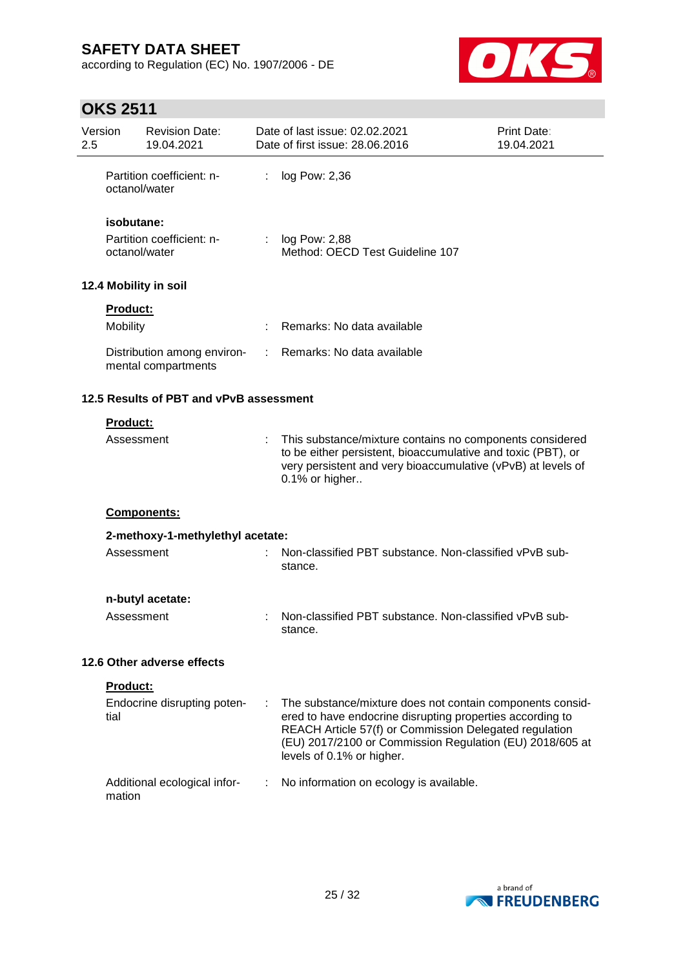according to Regulation (EC) No. 1907/2006 - DE



| Version<br>2.5                          |                                            | <b>Revision Date:</b><br>19.04.2021                |   | Date of last issue: 02.02.2021<br>Date of first issue: 28.06.2016                                                                                                                                                                                                         | Print Date:<br>19.04.2021 |
|-----------------------------------------|--------------------------------------------|----------------------------------------------------|---|---------------------------------------------------------------------------------------------------------------------------------------------------------------------------------------------------------------------------------------------------------------------------|---------------------------|
|                                         |                                            | Partition coefficient: n-<br>octanol/water         | ÷ | log Pow: 2,36                                                                                                                                                                                                                                                             |                           |
|                                         | isobutane:                                 |                                                    |   |                                                                                                                                                                                                                                                                           |                           |
|                                         | Partition coefficient: n-<br>octanol/water |                                                    |   | : $log Pow: 2,88$<br>Method: OECD Test Guideline 107                                                                                                                                                                                                                      |                           |
|                                         |                                            | 12.4 Mobility in soil                              |   |                                                                                                                                                                                                                                                                           |                           |
|                                         | <b>Product:</b>                            |                                                    |   |                                                                                                                                                                                                                                                                           |                           |
|                                         | Mobility                                   |                                                    |   | Remarks: No data available                                                                                                                                                                                                                                                |                           |
|                                         |                                            | Distribution among environ-<br>mental compartments | ÷ | Remarks: No data available                                                                                                                                                                                                                                                |                           |
| 12.5 Results of PBT and vPvB assessment |                                            |                                                    |   |                                                                                                                                                                                                                                                                           |                           |
|                                         | Product:                                   |                                                    |   |                                                                                                                                                                                                                                                                           |                           |
|                                         | Assessment                                 |                                                    |   | This substance/mixture contains no components considered<br>to be either persistent, bioaccumulative and toxic (PBT), or<br>very persistent and very bioaccumulative (vPvB) at levels of<br>0.1% or higher                                                                |                           |
|                                         |                                            | Components:                                        |   |                                                                                                                                                                                                                                                                           |                           |
|                                         |                                            | 2-methoxy-1-methylethyl acetate:                   |   |                                                                                                                                                                                                                                                                           |                           |
|                                         | Assessment                                 |                                                    |   | Non-classified PBT substance. Non-classified vPvB sub-<br>stance.                                                                                                                                                                                                         |                           |
|                                         |                                            | n-butyl acetate:                                   |   |                                                                                                                                                                                                                                                                           |                           |
|                                         | Assessment                                 |                                                    |   | Non-classified PBT substance. Non-classified vPvB sub-<br>stance.                                                                                                                                                                                                         |                           |
|                                         |                                            | 12.6 Other adverse effects                         |   |                                                                                                                                                                                                                                                                           |                           |
|                                         | <b>Product:</b>                            |                                                    |   |                                                                                                                                                                                                                                                                           |                           |
|                                         | tial                                       | Endocrine disrupting poten-                        | ÷ | The substance/mixture does not contain components consid-<br>ered to have endocrine disrupting properties according to<br>REACH Article 57(f) or Commission Delegated regulation<br>(EU) 2017/2100 or Commission Regulation (EU) 2018/605 at<br>levels of 0.1% or higher. |                           |
|                                         | mation                                     | Additional ecological infor-                       | ÷ | No information on ecology is available.                                                                                                                                                                                                                                   |                           |

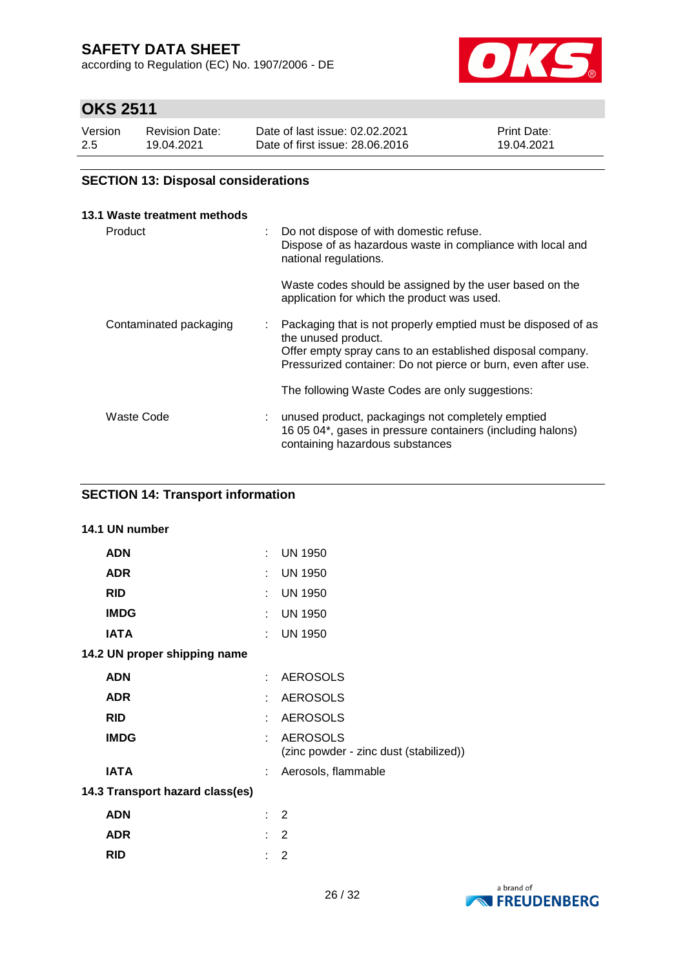according to Regulation (EC) No. 1907/2006 - DE



## **OKS 2511**

| Version | <b>Revision Date:</b> | Date of last issue: 02.02.2021  | <b>Print Date:</b> |
|---------|-----------------------|---------------------------------|--------------------|
| 2.5     | 19.04.2021            | Date of first issue: 28,06,2016 | 19.04.2021         |

### **SECTION 13: Disposal considerations**

| 13.1 Waste treatment methods |                |                                                                                                                                                                                                                     |
|------------------------------|----------------|---------------------------------------------------------------------------------------------------------------------------------------------------------------------------------------------------------------------|
| Product                      | $\mathbb{R}^n$ | Do not dispose of with domestic refuse.<br>Dispose of as hazardous waste in compliance with local and<br>national regulations.                                                                                      |
|                              |                | Waste codes should be assigned by the user based on the<br>application for which the product was used.                                                                                                              |
| Contaminated packaging       | t.             | Packaging that is not properly emptied must be disposed of as<br>the unused product.<br>Offer empty spray cans to an established disposal company.<br>Pressurized container: Do not pierce or burn, even after use. |
|                              |                | The following Waste Codes are only suggestions:                                                                                                                                                                     |
| Waste Code                   |                | unused product, packagings not completely emptied<br>16 05 04*, gases in pressure containers (including halons)<br>containing hazardous substances                                                                  |

### **SECTION 14: Transport information**

# **14.1 UN number ADN** : UN 1950 **ADR** : UN 1950 **RID** : UN 1950 **IMDG** : UN 1950 **IATA** : UN 1950 **14.2 UN proper shipping name ADN** : AEROSOLS **ADR** : AEROSOLS **RID** : AEROSOLS **IMDG** : AEROSOLS (zinc powder - zinc dust (stabilized)) **IATA** : Aerosols, flammable **14.3 Transport hazard class(es) ADN** : 2 **ADR** : 2 **RID** : 2

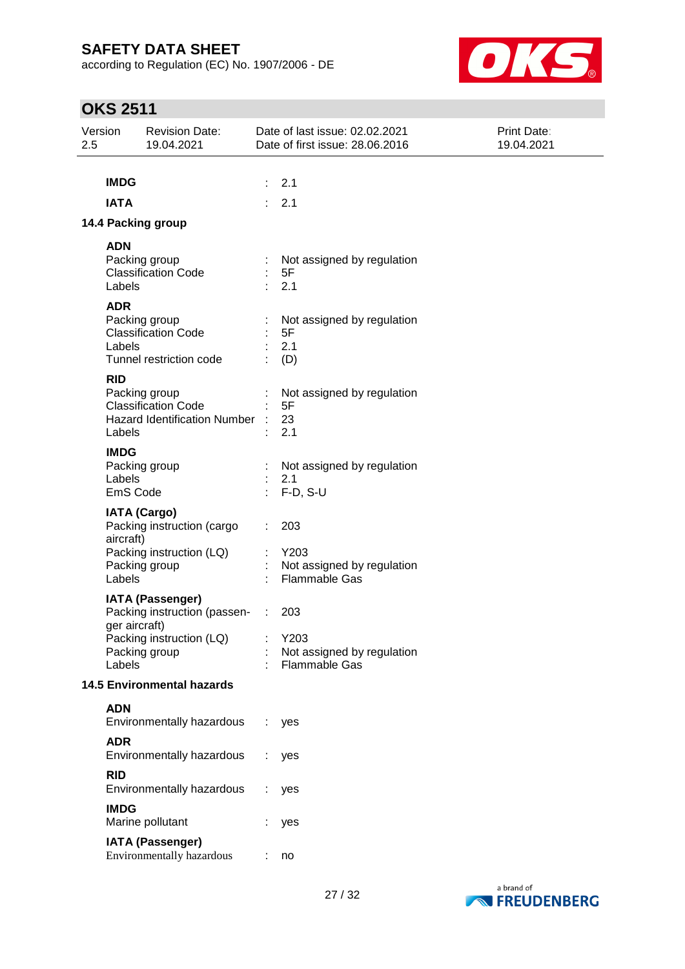according to Regulation (EC) No. 1907/2006 - DE



| Version<br>2.5 |                                   | <b>Revision Date:</b><br>19.04.2021                                                                    |                           | Date of last issue: 02.02.2021<br>Date of first issue: 28.06.2016 | <b>Print Date:</b><br>19.04.2021 |
|----------------|-----------------------------------|--------------------------------------------------------------------------------------------------------|---------------------------|-------------------------------------------------------------------|----------------------------------|
|                | <b>IMDG</b><br><b>IATA</b>        |                                                                                                        | $\mathbb{Z}^{\mathbb{Z}}$ | 2.1<br>2.1                                                        |                                  |
|                |                                   | 14.4 Packing group                                                                                     |                           |                                                                   |                                  |
|                | <b>ADN</b><br>Labels              | Packing group<br><b>Classification Code</b>                                                            |                           | Not assigned by regulation<br>5F<br>2.1                           |                                  |
|                | <b>ADR</b><br>Labels              | Packing group<br><b>Classification Code</b><br>Tunnel restriction code                                 |                           | Not assigned by regulation<br>5F<br>2.1<br>(D)                    |                                  |
|                | <b>RID</b><br>Labels              | Packing group<br><b>Classification Code</b><br>Hazard Identification Number :                          |                           | Not assigned by regulation<br>5F<br>23<br>2.1                     |                                  |
|                | <b>IMDG</b><br>Labels<br>EmS Code | Packing group                                                                                          |                           | Not assigned by regulation<br>2.1<br>$F-D, S-U$                   |                                  |
|                | aircraft)<br>Labels               | <b>IATA (Cargo)</b><br>Packing instruction (cargo<br>Packing instruction (LQ)<br>Packing group         |                           | 203<br>Y203<br>Not assigned by regulation<br><b>Flammable Gas</b> |                                  |
|                | ger aircraft)<br>Labels           | <b>IATA (Passenger)</b><br>Packing instruction (passen- :<br>Packing instruction (LQ)<br>Packing group |                           | 203<br>Y203<br>Not assigned by regulation<br><b>Flammable Gas</b> |                                  |
|                |                                   | <b>14.5 Environmental hazards</b>                                                                      |                           |                                                                   |                                  |
|                | <b>ADN</b>                        | Environmentally hazardous                                                                              |                           | yes                                                               |                                  |
|                | <b>ADR</b>                        | Environmentally hazardous                                                                              |                           | yes                                                               |                                  |
|                | <b>RID</b>                        | Environmentally hazardous                                                                              |                           | yes                                                               |                                  |
|                | <b>IMDG</b>                       | Marine pollutant                                                                                       |                           | yes                                                               |                                  |
|                |                                   | <b>IATA (Passenger)</b><br>Environmentally hazardous                                                   |                           | no                                                                |                                  |

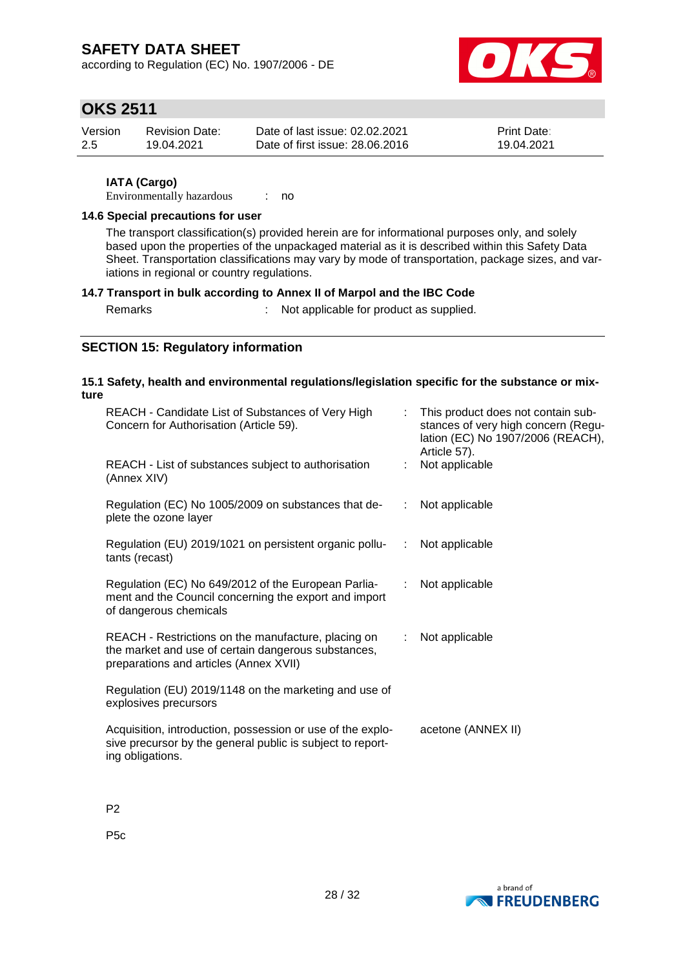according to Regulation (EC) No. 1907/2006 - DE



## **OKS 2511**

| Version | Revision Date: | Date of last issue: 02.02.2021  | <b>Print Date:</b> |
|---------|----------------|---------------------------------|--------------------|
| -2.5    | 19.04.2021     | Date of first issue: 28.06.2016 | 19.04.2021         |

#### **IATA (Cargo)**

Environmentally hazardous : no

#### **14.6 Special precautions for user**

The transport classification(s) provided herein are for informational purposes only, and solely based upon the properties of the unpackaged material as it is described within this Safety Data Sheet. Transportation classifications may vary by mode of transportation, package sizes, and variations in regional or country regulations.

#### **14.7 Transport in bulk according to Annex II of Marpol and the IBC Code**

Remarks : Not applicable for product as supplied.

### **SECTION 15: Regulatory information**

#### **15.1 Safety, health and environmental regulations/legislation specific for the substance or mixture**

| REACH - Candidate List of Substances of Very High<br>Concern for Authorisation (Article 59).                                                         | t.                        | This product does not contain sub-<br>stances of very high concern (Regu-<br>lation (EC) No 1907/2006 (REACH),<br>Article 57). |
|------------------------------------------------------------------------------------------------------------------------------------------------------|---------------------------|--------------------------------------------------------------------------------------------------------------------------------|
| REACH - List of substances subject to authorisation<br>(Annex XIV)                                                                                   |                           | Not applicable                                                                                                                 |
| Regulation (EC) No 1005/2009 on substances that de-<br>plete the ozone layer                                                                         |                           | : Not applicable                                                                                                               |
| Regulation (EU) 2019/1021 on persistent organic pollu-<br>tants (recast)                                                                             |                           | : Not applicable                                                                                                               |
| Regulation (EC) No 649/2012 of the European Parlia-<br>ment and the Council concerning the export and import<br>of dangerous chemicals               | ÷.                        | Not applicable                                                                                                                 |
| REACH - Restrictions on the manufacture, placing on<br>the market and use of certain dangerous substances,<br>preparations and articles (Annex XVII) | $\mathbb{R}^{\mathbb{Z}}$ | Not applicable                                                                                                                 |
| Regulation (EU) 2019/1148 on the marketing and use of<br>explosives precursors                                                                       |                           |                                                                                                                                |
| Acquisition, introduction, possession or use of the explo-<br>sive precursor by the general public is subject to report-<br>ing obligations.         |                           | acetone (ANNEX II)                                                                                                             |

P2

P5c

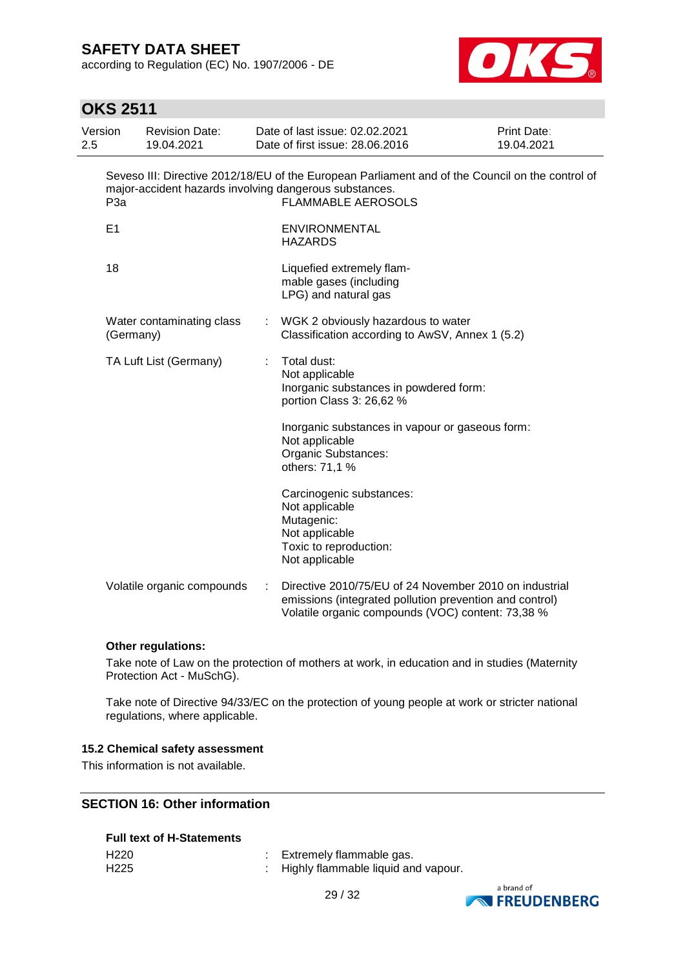according to Regulation (EC) No. 1907/2006 - DE



## **OKS 2511**

| Version<br>2.5 |                  | <b>Revision Date:</b><br>19.04.2021 |    | Date of last issue: 02.02.2021<br>Date of first issue: 28.06.2016                                                                                                                       | Print Date:<br>19.04.2021 |
|----------------|------------------|-------------------------------------|----|-----------------------------------------------------------------------------------------------------------------------------------------------------------------------------------------|---------------------------|
|                | P <sub>3</sub> a |                                     |    | Seveso III: Directive 2012/18/EU of the European Parliament and of the Council on the control of<br>major-accident hazards involving dangerous substances.<br><b>FLAMMABLE AEROSOLS</b> |                           |
|                | E <sub>1</sub>   |                                     |    | ENVIRONMENTAL<br><b>HAZARDS</b>                                                                                                                                                         |                           |
|                | 18               |                                     |    | Liquefied extremely flam-<br>mable gases (including<br>LPG) and natural gas                                                                                                             |                           |
|                | (Germany)        | Water contaminating class           | ÷. | WGK 2 obviously hazardous to water<br>Classification according to AwSV, Annex 1 (5.2)                                                                                                   |                           |
|                |                  | TA Luft List (Germany)              |    | Total dust:<br>Not applicable<br>Inorganic substances in powdered form:<br>portion Class 3: 26,62 %                                                                                     |                           |
|                |                  |                                     |    | Inorganic substances in vapour or gaseous form:<br>Not applicable<br>Organic Substances:<br>others: 71,1 %                                                                              |                           |
|                |                  |                                     |    | Carcinogenic substances:<br>Not applicable<br>Mutagenic:<br>Not applicable<br>Toxic to reproduction:<br>Not applicable                                                                  |                           |
|                |                  | Volatile organic compounds          |    | Directive 2010/75/EU of 24 November 2010 on industrial<br>emissions (integrated pollution prevention and control)<br>Volatile organic compounds (VOC) content: 73,38 %                  |                           |

#### **Other regulations:**

Take note of Law on the protection of mothers at work, in education and in studies (Maternity Protection Act - MuSchG).

Take note of Directive 94/33/EC on the protection of young people at work or stricter national regulations, where applicable.

#### **15.2 Chemical safety assessment**

This information is not available.

### **SECTION 16: Other information**

### **Full text of H-Statements**

| H220 | : Extremely flammable gas.            |
|------|---------------------------------------|
| H225 | : Highly flammable liquid and vapour. |

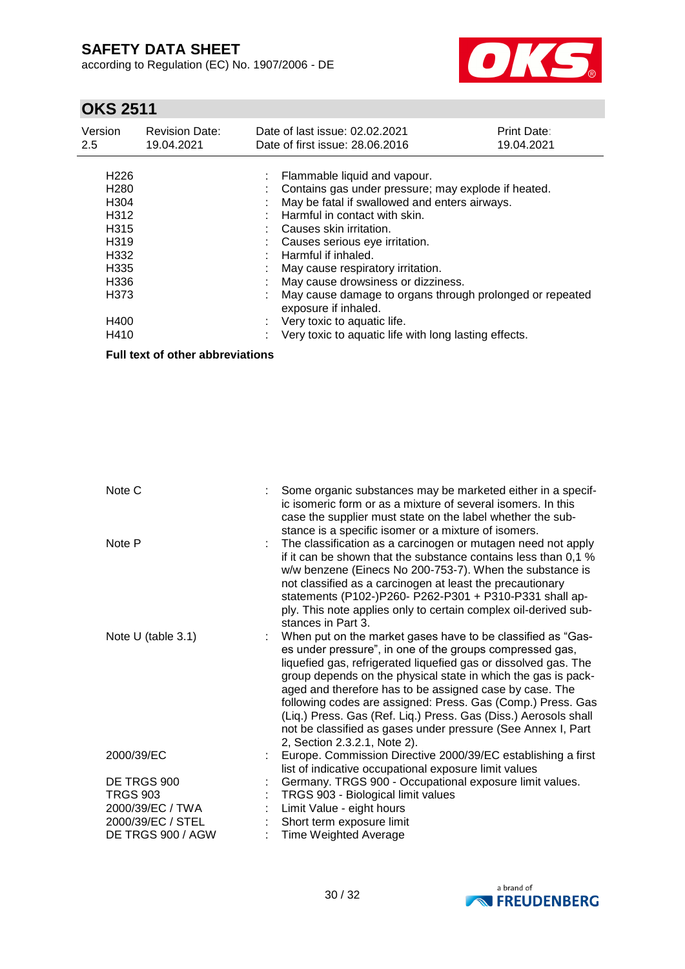according to Regulation (EC) No. 1907/2006 - DE



# **OKS 2511**

| H <sub>226</sub><br>: Flammable liquid and vapour.<br>H <sub>280</sub><br>Contains gas under pressure; may explode if heated.<br>May be fatal if swallowed and enters airways.<br>H <sub>304</sub><br>H <sub>312</sub><br>Harmful in contact with skin.<br>H <sub>315</sub><br>Causes skin irritation.<br>H <sub>319</sub><br>Causes serious eye irritation.<br>Harmful if inhaled.<br>H <sub>332</sub><br>H <sub>335</sub><br>May cause respiratory irritation.<br>May cause drowsiness or dizziness.<br>H <sub>336</sub><br>H <sub>3</sub> 73<br>May cause damage to organs through prolonged or repeated<br>exposure if inhaled.<br>H400<br>Very toxic to aquatic life.<br>H410<br>Very toxic to aquatic life with long lasting effects. |  |
|---------------------------------------------------------------------------------------------------------------------------------------------------------------------------------------------------------------------------------------------------------------------------------------------------------------------------------------------------------------------------------------------------------------------------------------------------------------------------------------------------------------------------------------------------------------------------------------------------------------------------------------------------------------------------------------------------------------------------------------------|--|

**Full text of other abbreviations**

| Note C             | Some organic substances may be marketed either in a specif-<br>ic isomeric form or as a mixture of several isomers. In this<br>case the supplier must state on the label whether the sub-<br>stance is a specific isomer or a mixture of isomers.                                                                                                                                                                                                                                                                                                        |
|--------------------|----------------------------------------------------------------------------------------------------------------------------------------------------------------------------------------------------------------------------------------------------------------------------------------------------------------------------------------------------------------------------------------------------------------------------------------------------------------------------------------------------------------------------------------------------------|
| Note P             | The classification as a carcinogen or mutagen need not apply<br>if it can be shown that the substance contains less than 0,1 %<br>w/w benzene (Einecs No 200-753-7). When the substance is<br>not classified as a carcinogen at least the precautionary<br>statements (P102-)P260- P262-P301 + P310-P331 shall ap-<br>ply. This note applies only to certain complex oil-derived sub-<br>stances in Part 3.                                                                                                                                              |
| Note U (table 3.1) | When put on the market gases have to be classified as "Gas-<br>es under pressure", in one of the groups compressed gas,<br>liquefied gas, refrigerated liquefied gas or dissolved gas. The<br>group depends on the physical state in which the gas is pack-<br>aged and therefore has to be assigned case by case. The<br>following codes are assigned: Press. Gas (Comp.) Press. Gas<br>(Liq.) Press. Gas (Ref. Liq.) Press. Gas (Diss.) Aerosols shall<br>not be classified as gases under pressure (See Annex I, Part<br>2, Section 2.3.2.1, Note 2). |
| 2000/39/EC         | Europe. Commission Directive 2000/39/EC establishing a first<br>list of indicative occupational exposure limit values                                                                                                                                                                                                                                                                                                                                                                                                                                    |
| DE TRGS 900        | Germany. TRGS 900 - Occupational exposure limit values.                                                                                                                                                                                                                                                                                                                                                                                                                                                                                                  |
| <b>TRGS 903</b>    | TRGS 903 - Biological limit values                                                                                                                                                                                                                                                                                                                                                                                                                                                                                                                       |
| 2000/39/EC / TWA   | Limit Value - eight hours                                                                                                                                                                                                                                                                                                                                                                                                                                                                                                                                |
| 2000/39/EC / STEL  | Short term exposure limit                                                                                                                                                                                                                                                                                                                                                                                                                                                                                                                                |
| DE TRGS 900 / AGW  | <b>Time Weighted Average</b>                                                                                                                                                                                                                                                                                                                                                                                                                                                                                                                             |

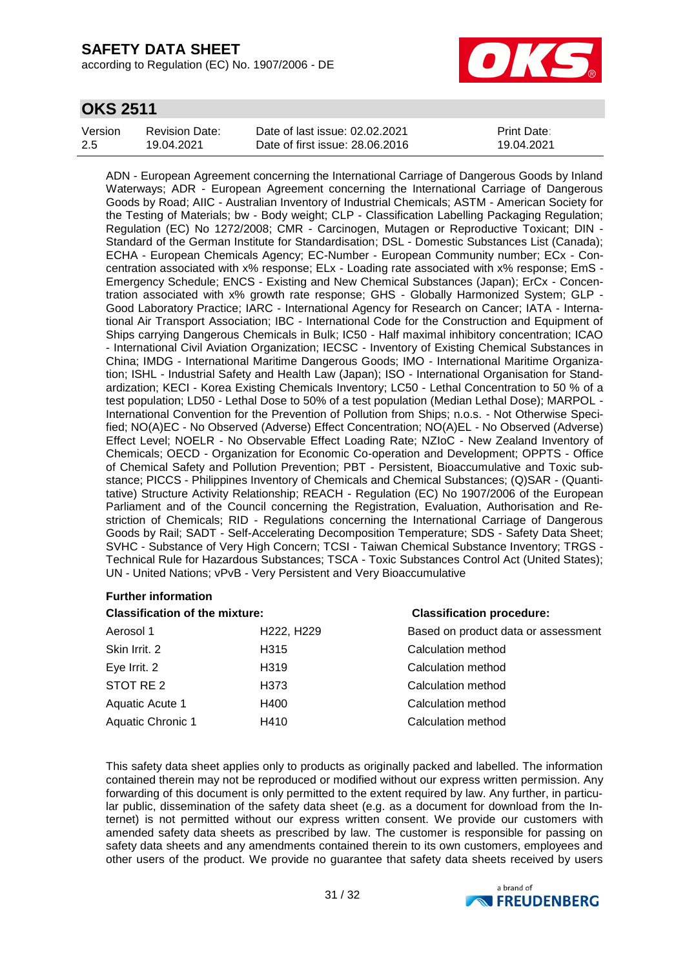according to Regulation (EC) No. 1907/2006 - DE



## **OKS 2511**

| Version | Revision Date: | Date of last issue: 02.02.2021  | <b>Print Date:</b> |
|---------|----------------|---------------------------------|--------------------|
| 2.5     | 19.04.2021     | Date of first issue: 28.06.2016 | 19.04.2021         |

ADN - European Agreement concerning the International Carriage of Dangerous Goods by Inland Waterways; ADR - European Agreement concerning the International Carriage of Dangerous Goods by Road; AIIC - Australian Inventory of Industrial Chemicals; ASTM - American Society for the Testing of Materials; bw - Body weight; CLP - Classification Labelling Packaging Regulation; Regulation (EC) No 1272/2008; CMR - Carcinogen, Mutagen or Reproductive Toxicant; DIN - Standard of the German Institute for Standardisation; DSL - Domestic Substances List (Canada); ECHA - European Chemicals Agency; EC-Number - European Community number; ECx - Concentration associated with x% response; ELx - Loading rate associated with x% response; EmS - Emergency Schedule; ENCS - Existing and New Chemical Substances (Japan); ErCx - Concentration associated with x% growth rate response; GHS - Globally Harmonized System; GLP - Good Laboratory Practice; IARC - International Agency for Research on Cancer; IATA - International Air Transport Association; IBC - International Code for the Construction and Equipment of Ships carrying Dangerous Chemicals in Bulk; IC50 - Half maximal inhibitory concentration; ICAO - International Civil Aviation Organization; IECSC - Inventory of Existing Chemical Substances in China; IMDG - International Maritime Dangerous Goods; IMO - International Maritime Organization; ISHL - Industrial Safety and Health Law (Japan); ISO - International Organisation for Standardization; KECI - Korea Existing Chemicals Inventory; LC50 - Lethal Concentration to 50 % of a test population; LD50 - Lethal Dose to 50% of a test population (Median Lethal Dose); MARPOL - International Convention for the Prevention of Pollution from Ships; n.o.s. - Not Otherwise Specified; NO(A)EC - No Observed (Adverse) Effect Concentration; NO(A)EL - No Observed (Adverse) Effect Level; NOELR - No Observable Effect Loading Rate; NZIoC - New Zealand Inventory of Chemicals; OECD - Organization for Economic Co-operation and Development; OPPTS - Office of Chemical Safety and Pollution Prevention; PBT - Persistent, Bioaccumulative and Toxic substance; PICCS - Philippines Inventory of Chemicals and Chemical Substances; (Q)SAR - (Quantitative) Structure Activity Relationship; REACH - Regulation (EC) No 1907/2006 of the European Parliament and of the Council concerning the Registration, Evaluation, Authorisation and Restriction of Chemicals; RID - Regulations concerning the International Carriage of Dangerous Goods by Rail; SADT - Self-Accelerating Decomposition Temperature; SDS - Safety Data Sheet; SVHC - Substance of Very High Concern; TCSI - Taiwan Chemical Substance Inventory; TRGS - Technical Rule for Hazardous Substances; TSCA - Toxic Substances Control Act (United States); UN - United Nations; vPvB - Very Persistent and Very Bioaccumulative

### **Further information**

### **Classification of the mixture: Classification procedure:**

| 91400111046011 01 610 1111/3641 01 |                                     | <b>PIGOOIIIVGIIDII</b> PIUUUGIUIUI  |  |  |
|------------------------------------|-------------------------------------|-------------------------------------|--|--|
| Aerosol 1                          | H <sub>222</sub> , H <sub>229</sub> | Based on product data or assessment |  |  |
| Skin Irrit. 2                      | H <sub>315</sub>                    | Calculation method                  |  |  |
| Eye Irrit. 2                       | H <sub>3</sub> 19                   | Calculation method                  |  |  |
| STOT RE 2                          | H373                                | Calculation method                  |  |  |
| Aquatic Acute 1                    | H400                                | Calculation method                  |  |  |
| Aquatic Chronic 1                  | H410                                | Calculation method                  |  |  |
|                                    |                                     |                                     |  |  |

This safety data sheet applies only to products as originally packed and labelled. The information contained therein may not be reproduced or modified without our express written permission. Any forwarding of this document is only permitted to the extent required by law. Any further, in particular public, dissemination of the safety data sheet (e.g. as a document for download from the Internet) is not permitted without our express written consent. We provide our customers with amended safety data sheets as prescribed by law. The customer is responsible for passing on safety data sheets and any amendments contained therein to its own customers, employees and other users of the product. We provide no guarantee that safety data sheets received by users